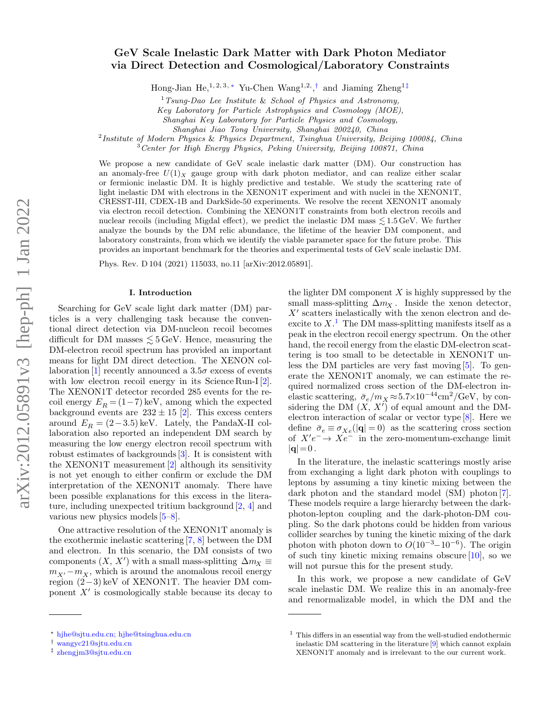# GeV Scale Inelastic Dark Matter with Dark Photon Mediator via Direct Detection and Cosmological/Laboratory Constraints

Hong-Jian He,<sup>1, 2, 3,</sup> \* Yu-Chen Wang<sup>1, 2, [†](#page-0-1)</sup> and Jiaming Zheng<sup>1[‡](#page-0-2)</sup>

<sup>1</sup>Tsung-Dao Lee Institute & School of Physics and Astronomy,

Key Laboratory for Particle Astrophysics and Cosmology (MOE),

Shanghai Key Laboratory for Particle Physics and Cosmology,

<sup>2</sup>Institute of Modern Physics & Physics Department, Tsinghua University, Beijing 100084, China

<sup>3</sup>Center for High Energy Physics, Peking University, Beijing 100871, China

We propose a new candidate of GeV scale inelastic dark matter (DM). Our construction has an anomaly-free  $U(1)_X$  gauge group with dark photon mediator, and can realize either scalar or fermionic inelastic DM. It is highly predictive and testable. We study the scattering rate of light inelastic DM with electrons in the XENON1T experiment and with nuclei in the XENON1T, CRESST-III, CDEX-1B and DarkSide-50 experiments. We resolve the recent XENON1T anomaly via electron recoil detection. Combining the XENON1T constraints from both electron recoils and nuclear recoils (including Migdal effect), we predict the inelastic DM mass  $\lesssim 1.5$  GeV. We further analyze the bounds by the DM relic abundance, the lifetime of the heavier DM component, and laboratory constraints, from which we identify the viable parameter space for the future probe. This provides an important benchmark for the theories and experimental tests of GeV scale inelastic DM.

Phys. Rev. D 104 (2021) 115033, no.11 [arXiv:2012.05891].

#### I. Introduction

Searching for GeV scale light dark matter (DM) particles is a very challenging task because the conventional direct detection via DM-nucleon recoil becomes difficult for DM masses  $\leq 5 \,\text{GeV}$ . Hence, measuring the DM-electron recoil spectrum has provided an important means for light DM direct detection. The XENON col-laboration [\[1\]](#page-11-0) recently announced a  $3.5\sigma$  excess of events with low electron recoil energy in its Science Run-I [\[2\]](#page-11-1). The XENON1T detector recorded 285 events for the recoil energy  $E_R = (1 - 7)$  keV, among which the expected background events are  $232 \pm 15$  [\[2\]](#page-11-1). This excess centers around  $E_R = (2-3.5)$  keV. Lately, the PandaX-II collaboration also reported an independent DM search by measuring the low energy electron recoil spectrum with robust estimates of backgrounds [\[3\]](#page-11-2). It is consistent with the XENON1T measurement [\[2\]](#page-11-1) although its sensitivity is not yet enough to either confirm or exclude the DM interpretation of the XENON1T anomaly. There have been possible explanations for this excess in the literature, including unexpected tritium background [\[2,](#page-11-1) [4\]](#page-11-3) and various new physics models [\[5–](#page-11-4)[8\]](#page-12-0).

One attractive resolution of the XENON1T anomaly is the exothermic inelastic scattering [\[7,](#page-12-1) [8\]](#page-12-0) between the DM and electron. In this scenario, the DM consists of two components  $(X, X')$  with a small mass-splitting  $\Delta m_X \equiv$  $m_{X'} - m_{X}$ , which is around the anomalous recoil energy region (2−3) keV of XENON1T. The heavier DM component  $X'$  is cosmologically stable because its decay to

the lighter DM component  $X$  is highly suppressed by the small mass-splitting  $\Delta m_X$ . Inside the xenon detector,  $X'$  scatters inelastically with the xenon electron and deexcite to  $X$ <sup>[1](#page-0-3)</sup>. The DM mass-splitting manifests itself as a peak in the electron recoil energy spectrum. On the other hand, the recoil energy from the elastic DM-electron scattering is too small to be detectable in XENON1T unless the DM particles are very fast moving [\[5\]](#page-11-4). To generate the XENON1T anomaly, we can estimate the required normalized cross section of the DM-electron inelastic scattering,  $\bar{\sigma}_e/m_X \approx 5.7 \times 10^{-44} \text{cm}^2/\text{GeV}$ , by considering the DM  $(X, X')$  of equal amount and the DMelectron interaction of scalar or vector type [\[8\]](#page-12-0). Here we define  $\bar{\sigma}_e \equiv \sigma_{Xe}(|{\bf q}| = 0)$  as the scattering cross section of  $X'e^- \to Xe^-$  in the zero-momentum-exchange limit  $|\mathbf{q}| = 0$ .

In the literature, the inelastic scatterings mostly arise from exchanging a light dark photon with couplings to leptons by assuming a tiny kinetic mixing between the dark photon and the standard model (SM) photon [\[7\]](#page-12-1). These models require a large hierarchy between the darkphoton-lepton coupling and the dark-photon-DM coupling. So the dark photons could be hidden from various collider searches by tuning the kinetic mixing of the dark photon with photon down to  $O(10^{-3}-10^{-6})$ . The origin of such tiny kinetic mixing remains obscure  $[10]$ , so we will not pursue this for the present study.

In this work, we propose a new candidate of GeV scale inelastic DM. We realize this in an anomaly-free and renormalizable model, in which the DM and the

Shanghai Jiao Tong University, Shanghai 200240, China

<span id="page-0-0"></span><sup>∗</sup> [hjhe@sjtu.edu.cn; hjhe@tsinghua.edu.cn](mailto:hjhe@sjtu.edu.cn; hjhe@tsinghua.edu.cn)

<span id="page-0-1"></span><sup>†</sup> [wangyc21@sjtu.edu.cn](mailto:wangyc21@sjtu.edu.cn)

<span id="page-0-2"></span><sup>‡</sup> [zhengjm3@sjtu.edu.cn](mailto:zhengjm3@sjtu.edu.cn)

<span id="page-0-3"></span> $^{\rm 1}$  This differs in an essential way from the well-studied endothermic inelastic DM scattering in the literature [\[9\]](#page-12-3) which cannot explain XENON1T anomaly and is irrelevant to the our current work.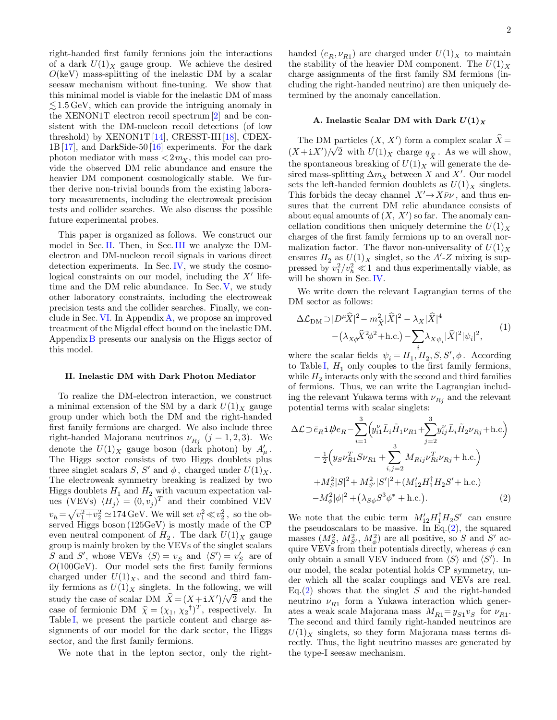right-handed first family fermions join the interactions of a dark  $U(1)_X$  gauge group. We achieve the desired  $O(\text{keV})$  mass-splitting of the inelastic DM by a scalar seesaw mechanism without fine-tuning. We show that this minimal model is viable for the inelastic DM of mass  $\lesssim$  1.5 GeV, which can provide the intriguing anomaly in the XENON1T electron recoil spectrum [\[2\]](#page-11-1) and be consistent with the DM-nucleon recoil detections (of low threshold) by  $XENON1T[14]$ , CRESST-III $[18]$ , CDEX-1B [\[17\]](#page-12-6), and DarkSide-50 [\[16\]](#page-12-7) experiments. For the dark photon mediator with mass  $\langle 2m_X, \text{ this model can pro-}$ vide the observed DM relic abundance and ensure the heavier DM component cosmologically stable. We further derive non-trivial bounds from the existing laboratory measurements, including the electroweak precision tests and collider searches. We also discuss the possible future experimental probes.

This paper is organized as follows. We construct our model in Sec.[II.](#page-1-0) Then, in Sec.[III](#page-3-0) we analyze the DMelectron and DM-nucleon recoil signals in various direct detection experiments. In Sec.[IV,](#page-5-0) we study the cosmological constraints on our model, including the  $X'$  lifetime and the DM relic abundance. In Sec. [V,](#page-7-0) we study other laboratory constraints, including the electroweak precision tests and the collider searches. Finally, we conclude in Sec. [VI.](#page-8-0) In Appendix [A,](#page-9-0) we propose an improved treatment of the Migdal effect bound on the inelastic DM. Appendix [B](#page-10-0) presents our analysis on the Higgs sector of this model.

#### <span id="page-1-0"></span>II. Inelastic DM with Dark Photon Mediator

To realize the DM-electron interaction, we construct a minimal extension of the SM by a dark  $U(1)_X$  gauge group under which both the DM and the right-handed first family fermions are charged. We also include three right-handed Majorana neutrinos  $\nu_{Rj}$  (j = 1, 2, 3). We denote the  $U(1)_X$  gauge boson (dark photon) by  $A'_\mu$ . The Higgs sector consists of two Higgs doublets plus three singlet scalars S, S' and  $\phi$ , charged under  $U(1)_X$ . The electroweak symmetry breaking is realized by two Higgs doublets  $H_1$  and  $H_2$  with vacuum expectation values (VEVs)  $\langle H_j \rangle = (0, v_j)^T$  and their combined VEV  $v_h = \sqrt{v_1^2 + v_2^2} \simeq 174 \,\mathrm{GeV}$ . We will set  $v_1^2 \ll v_2^2$ , so the observed Higgs boson (125GeV) is mostly made of the CP even neutral component of  $H_2$ . The dark  $U(1)_X$  gauge group is mainly broken by the VEVs of the singlet scalars S and S', whose VEVs  $\langle S \rangle = v_S$  and  $\langle S' \rangle = v'_S$  are of  $O(100 \text{GeV})$ . Our model sets the first family fermions charged under  $U(1)_X$ , and the second and third family fermions as  $U(1)_X$  singlets. In the following, we will study the case of scalar DM  $\hat{X} = (X + iX')/\sqrt{2}$  and the case of fermionic DM  $\hat{\chi} = (\chi_1, \chi_2^{\dagger})^T$ , respectively. In<br>Table I, we present the particle content and charge as-Table [I,](#page-2-0) we present the particle content and charge assignments of our model for the dark sector, the Higgs sector, and the first family fermions.

We note that in the lepton sector, only the right-

handed  $(e_R, \nu_{R1})$  are charged under  $U(1)_X$  to maintain the stability of the heavier DM component. The  $U(1)_X$ charge assignments of the first family SM fermions (including the right-handed neutrino) are then uniquely determined by the anomaly cancellation.

## A. Inelastic Scalar DM with Dark  $U(1)_X$

<span id="page-1-3"></span>The DM particles  $(X, X')$  form a complex scalar  $\hat{X} =$  $(X+iX')/\sqrt{2}$  with  $U(1)_X$  charge  $q_{\hat{X}}$ . As we will show, the spontaneous breaking of  $U(1)_X$  will generate the desired mass-splitting  $\Delta m_X$  between X and X'. Our model sets the left-handed fermion doublets as  $U(1)_X$  singlets. This forbids the decay channel  $X' \rightarrow X \bar{\nu} \nu$ , and thus ensures that the current DM relic abundance consists of about equal amounts of  $(X, X')$  so far. The anomaly cancellation conditions then uniquely determine the  $U(1)_X$ charges of the first family fermions up to an overall normalization factor. The flavor non-universality of  $U(1)_X$ ensures  $H_2$  as  $U(1)_X$  singlet, so the  $A'-Z$  mixing is suppressed by  $v_1^2/v_h^2 \ll 1$  and thus experimentally viable, as will be shown in Sec. [IV.](#page-5-0)

We write down the relevant Lagrangian terms of the DM sector as follows:

<span id="page-1-2"></span>
$$
\Delta \mathcal{L}_{\text{DM}} \supset |D^{\mu} \widehat{X}|^2 - m_{\widehat{X}}^2 |\widehat{X}|^2 - \lambda_X |\widehat{X}|^4
$$

$$
-(\lambda_{X\phi} \widehat{X}^2 \phi^2 + \text{h.c.}) - \sum_i \lambda_{X\psi_i} |\widehat{X}|^2 |\psi_i|^2,
$$
(1)

where the scalar fields  $\psi_i = H_1, H_2, S, S', \phi$ . According to Table [I,](#page-2-0)  $H_1$  only couples to the first family fermions, while  $H_2$  interacts only with the second and third families of fermions. Thus, we can write the Lagrangian including the relevant Yukawa terms with  $\nu_{Rj}$  and the relevant potential terms with scalar singlets:

<span id="page-1-1"></span>
$$
\Delta \mathcal{L} \supset \bar{e}_R \, \mathrm{i} \, \mathcal{D} e_R - \sum_{i=1}^3 \left( y_{i1}^\nu \bar{L}_i \tilde{H}_1 \nu_{R1} + \sum_{j=2}^3 y_{ij}^\nu \bar{L}_i \tilde{H}_2 \nu_{Rj} + \mathrm{h.c.} \right) \n- \frac{1}{2} \left( y_S \nu_{R1}^T S \nu_{R1} + \sum_{i,j=2}^3 M_{Rij} \nu_{Ri}^T \nu_{Rj} + \mathrm{h.c.} \right) \n+ M_S^2 |S|^2 + M_{S'}^2 |S'|^2 + (M_{12}' H_1^\dagger H_2 S' + \mathrm{h.c.}) \n- M_\phi^2 |\phi|^2 + (\lambda_{S\phi} S^3 \phi^* + \mathrm{h.c.}). \tag{2}
$$

We note that the cubic term  $M_{12}'H_1^{\dagger}H_2S'$  can ensure the pseudoscalars to be massive. In Eq. $(2)$ , the squared masses  $(M_S^2, M_{S'}^2, M_{\phi}^2)$  are all positive, so S and S' acquire VEVs from their potentials directly, whereas  $\phi$  can only obtain a small VEV induced from  $\langle S \rangle$  and  $\langle S' \rangle$ . In our model, the scalar potential holds CP symmetry, under which all the scalar couplings and VEVs are real. Eq. $(2)$  shows that the singlet S and the right-handed neutrino  $\nu_{R1}$  form a Yukawa interaction which generates a weak scale Majorana mass  $M_{R1} = y_{S1}v_S$  for  $\nu_{R1}$ . The second and third family right-handed neutrinos are  $U(1)_X$  singlets, so they form Majorana mass terms directly. Thus, the light neutrino masses are generated by the type-I seesaw mechanism.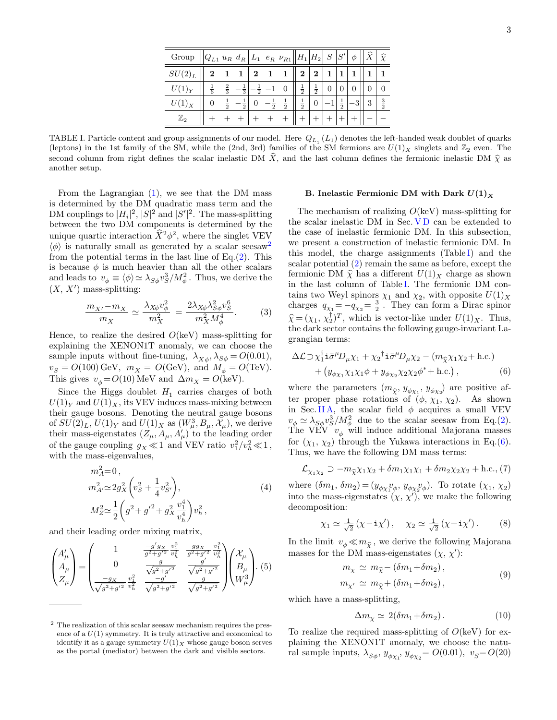| Group     | $ Q_{L1} u_R d_R $ |               |                |                |    | $L_1$ $e_R$ $\nu_{R1}$ | $  H_1 H_2  $ |                | ${\cal S}$     | $S^\prime$     | $\phi$                      |   |                |
|-----------|--------------------|---------------|----------------|----------------|----|------------------------|---------------|----------------|----------------|----------------|-----------------------------|---|----------------|
| $SU(2)_L$ | $\bf{2}$           |               |                | $\overline{2}$ | -1 | 1                      | $\bf{2}$      | $\overline{2}$ |                |                |                             |   |                |
|           | $\frac{1}{6}$      | $\frac{2}{3}$ | $\overline{3}$ | $\overline{2}$ |    |                        | $\frac{1}{2}$ | $\frac{1}{2}$  | $\overline{0}$ |                | 0                           |   |                |
|           | 0                  | ぅ             | $\mathcal{D}$  |                | ぅ  | $\frac{1}{2}$          | $\frac{1}{2}$ |                |                | $\overline{2}$ | $\Omega$<br>$-\mathbf{o}$ . | 3 | $\overline{2}$ |
| Ζ,        |                    |               |                |                |    |                        |               |                |                |                |                             |   |                |

<span id="page-2-0"></span>TABLE I. Particle content and group assignments of our model. Here  $Q_{L_1}(L_1)$  denotes the left-handed weak doublet of quarks (leptons) in the 1st family of the SM, while the (2nd, 3rd) families of the SM fermions are  $U(1)_X$  singlets and  $\mathbb{Z}_2$  even. The second column from right defines the scalar inelastic DM  $\tilde{X}$ , and the last column defines the fermionic inelastic DM  $\hat{\chi}$  as another setup.

From the Lagrangian [\(1\)](#page-1-2), we see that the DM mass is determined by the DM quadratic mass term and the DM couplings to  $|H_i|^2$ ,  $|S|^2$  and  $|S'|^2$ . The mass-splitting between the two DM components is determined by the unique quartic interaction  $\hat{X}^2 \phi^2$ , where the singlet VEV  $\langle \phi \rangle$  is naturally small as generated by a scalar seesaw<sup>[2](#page-2-1)</sup> from the potential terms in the last line of Eq. $(2)$ . This is because  $\phi$  is much heavier than all the other scalars and leads to  $v_{\phi} \equiv \langle \phi \rangle \simeq \lambda_{S\phi} v_S^3 / M_{\phi}^2$ . Thus, we derive the  $(X, X')$  mass-splitting:

$$
\frac{m_{X'} - m_X}{m_X} \simeq \frac{\lambda_{X\phi} v_{\phi}^2}{m_X^2} = \frac{2\lambda_{X\phi} \lambda_{S\phi}^2 v_S^6}{m_X^2 M_{\phi}^4}.
$$
 (3)

Hence, to realize the desired  $O(\text{keV})$  mass-splitting for explaining the XENON1T anomaly, we can choose the sample inputs without fine-tuning,  $\lambda_{X\phi}$ ,  $\lambda_{S\phi} = O(0.01)$ ,  $v_S = O(100) \,\text{GeV}, m_X = O(\text{GeV}), \text{ and } M_\phi = O(\text{TeV}).$ This gives  $v_{\phi} = O(10) \text{ MeV}$  and  $\Delta m_X = O(\text{keV}).$ 

Since the Higgs doublet  $H_1$  carries charges of both  $U(1)_Y$  and  $U(1)_X$ , its VEV induces mass-mixing between their gauge bosons. Denoting the neutral gauge bosons of  $SU(2)_L$ ,  $U(1)_Y$  and  $U(1)_X$  as  $(W^3_\mu, B_\mu, \mathcal{X}_\mu)$ , we derive their mass-eigenstates  $(Z_{\mu}, A_{\mu}, A_{\mu}')$  to the leading order of the gauge coupling  $g_X \ll 1$  and VEV ratio  $v_1^2/v_h^2 \ll 1$ , with the mass-eigenvalues,

<span id="page-2-4"></span>
$$
m_A^2 = 0,
$$
  
\n
$$
m_{A'}^2 \approx 2g_X^2 \left(v_S^2 + \frac{1}{4}v_{S'}^2\right),
$$
  
\n
$$
M_Z^2 \approx \frac{1}{2} \left(g^2 + {g'}^2 + g_X^2 \frac{v_1^4}{v_h^4}\right) v_h^2,
$$
\n(4)

and their leading order mixing matrix,

<span id="page-2-3"></span>
$$
\begin{pmatrix} A'_{\mu} \\ A_{\mu} \\ Z_{\mu} \end{pmatrix} = \begin{pmatrix} 1 & \frac{-g'g_X}{g^2 + g'^2} \frac{v_1^2}{v_h^2} & \frac{gg_X}{g^2 + g'^2} \frac{v_1^2}{v_h^2} \\ 0 & \frac{g}{\sqrt{g^2 + g'^2}} & \frac{g'}{\sqrt{g^2 + g'^2}} \\ \frac{-g_X}{\sqrt{g^2 + g'^2}} \frac{v_1^2}{v_h^2} & \frac{-g'}{\sqrt{g^2 + g'^2}} & \frac{g}{\sqrt{g^2 + g'^2}} \end{pmatrix} \begin{pmatrix} \mathcal{X}_{\mu} \\ B_{\mu} \\ W_{\mu}^3 \end{pmatrix} . (5)
$$

#### B. Inelastic Fermionic DM with Dark  $U(1)_X$

The mechanism of realizing  $O(\text{keV})$  mass-splitting for the scalar inelastic DM in Sec. [V D](#page-8-1) can be extended to the case of inelastic fermionic DM. In this subsection, we present a construction of inelastic fermionic DM. In this model, the charge assignments  $(Table I)$  $(Table I)$  and the scalar potential [\(2\)](#page-1-1) remain the same as before, except the fermionic DM  $\hat{\chi}$  has a different  $U(1)_X$  charge as shown in the last column of Table [I.](#page-2-0) The fermionic DM contains two Weyl spinors  $\chi_1$  and  $\chi_2$ , with opposite  $U(1)_X$ charges  $q_{\chi_1} = -q_{\chi_2} = \frac{3}{2}$ . They can form a Dirac spinor  $\hat{\chi} = (\chi_1, \chi_2^{\dagger})^T$ , which is vector-like under  $U(1)_X$ . Thus,<br>the dark sector contains the following gauge-invariant Lathe dark sector contains the following gauge-invariant Lagrangian terms:

<span id="page-2-2"></span>
$$
\Delta \mathcal{L} \supset \chi_1^{\dagger} i \bar{\sigma}^{\mu} D_{\mu} \chi_1 + \chi_2^{\dagger} i \bar{\sigma}^{\mu} D_{\mu} \chi_2 - (m_{\widehat{\chi}} \chi_1 \chi_2 + \text{h.c.}) + (y_{\phi \chi_1} \chi_1 \chi_1 \phi + y_{\phi \chi_2} \chi_2 \chi_2 \phi^* + \text{h.c.}),
$$
 (6)

where the parameters  $(m_{\tilde{\chi}}, y_{\phi\chi_1}, y_{\phi\chi_2})$  are positive af-<br>ter proper phase retains of  $(A, \chi)$ ,  $A$ s shown ter proper phase rotations of  $(\phi, \chi_1, \chi_2)$ . As shown in Sec.IIA, the scalar field  $\phi$  acquires a small VEV  $v_{\phi} \simeq \lambda_{S\phi} v_S^3 / M_{\phi}^2$  due to the scalar seesaw from Eq.[\(2\)](#page-1-1). The VEV  $v_{\phi}$  will induce additional Majorana masses for  $(\chi_1, \chi_2)$  through the Yukawa interactions in Eq.[\(6\)](#page-2-2). Thus, we have the following DM mass terms:

$$
\mathcal{L}_{\chi_1 \chi_2} \supset -m_{\tilde{\chi}} \chi_1 \chi_2 + \delta m_1 \chi_1 \chi_1 + \delta m_2 \chi_2 \chi_2 + \text{h.c.}, (7)
$$

where  $(\delta m_1, \, \delta m_2) = (y_{\phi \chi_1^{\,0}\phi}, \, y_{\phi \chi_2^{\,0}\phi})$ . To rotate  $(\chi_1, \, \chi_2)$ into the mass-eigenstates  $(\chi, \chi')$ , we make the following decomposition:

$$
\chi_1 \simeq \frac{1}{\sqrt{2}} \left( \chi - i \chi' \right), \quad \chi_2 \simeq \frac{1}{\sqrt{2}} \left( \chi + i \chi' \right). \tag{8}
$$

In the limit  $v_{\phi} \ll m_{\hat{\chi}}$ , we derive the following Majorana<br>masses for the DM mass signature  $(\chi, \chi')$ . masses for the DM mass-eigenstates  $(\chi, \chi')$ :

$$
m_{\chi} \simeq m_{\hat{\chi}} - (\delta m_1 + \delta m_2),
$$
  
\n
$$
m_{\chi'} \simeq m_{\hat{\chi}} + (\delta m_1 + \delta m_2),
$$
\n(9)

which have a mass-splitting,

$$
\Delta m_{\chi} \simeq 2(\delta m_1 + \delta m_2). \tag{10}
$$

To realize the required mass-splitting of  $O(\text{keV})$  for explaining the XENON1T anomaly, we choose the natural sample inputs,  $\lambda_{S\phi}$ ,  $y_{\phi\chi_1}$ ,  $y_{\phi\chi_2} = O(0.01)$ ,  $v_S = O(20)$ 

<span id="page-2-1"></span><sup>2</sup> The realization of this scalar seesaw mechanism requires the presence of a  $U(1)$  symmetry. It is truly attractive and economical to identify it as a gauge symmetry  $U(1)_X$  whose gauge boson serves as the portal (mediator) between the dark and visible sectors.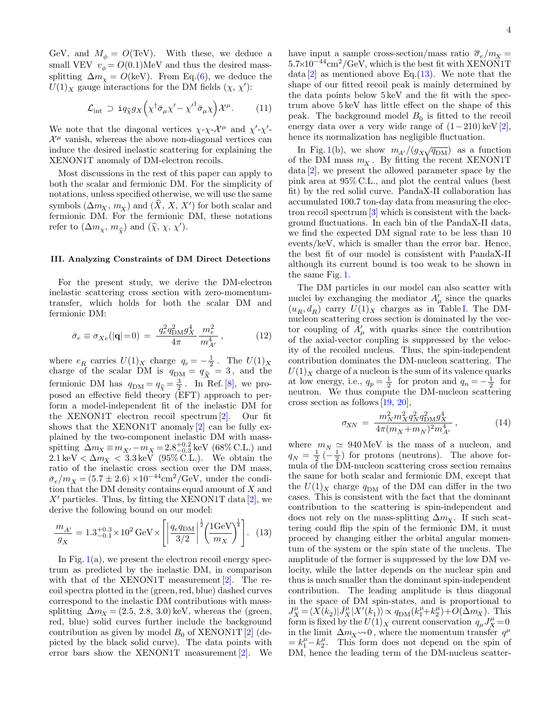GeV, and  $M_{\phi} = O(\text{TeV})$ . With these, we deduce a small VEV  $v_{\phi} = O(0.1)$ MeV and thus the desired masssplitting  $\Delta m_{\chi} = O(\text{keV})$ . From Eq.[\(6\)](#page-2-2), we deduce the  $U(1)_X$  gauge interactions for the DM fields  $(\chi, \chi')$ :

$$
\mathcal{L}_{\text{int}} \supset \text{i} q_{\widehat{\chi}} g_X \Big(\chi^{\dagger} \bar{\sigma}_{\mu} \chi' - {\chi'}^{\dagger} \bar{\sigma}_{\mu} \chi \Big) \mathcal{X}^{\mu}.
$$
 (11)

We note that the diagonal vertices  $\chi$ - $\chi$ - $\mathcal{X}^{\mu}$  and  $\chi'$ - $\chi'$ - $\mathcal{X}^{\mu}$  vanish, whereas the above non-diagonal vertices can induce the desired inelastic scattering for explaining the XENON1T anomaly of DM-electron recoils.

Most discussions in the rest of this paper can apply to both the scalar and fermionic DM. For the simplicity of notations, unless specified otherwise, we will use the same symbols  $(\Delta m_X, m_X)$  and  $(\widehat{X}, X, X')$  for both scalar and fermionic DM. For the fermionic DM, these notations refer to  $(\Delta m_\chi, m_{\widehat{\chi}})$  and  $(\widehat{\chi}, \chi, \chi')$ .

## <span id="page-3-0"></span>III. Analyzing Constraints of DM Direct Detections

For the present study, we derive the DM-electron inelastic scattering cross section with zero-momentumtransfer, which holds for both the scalar DM and fermionic DM:

$$
\bar{\sigma}_e \equiv \sigma_{Xe}(|\mathbf{q}| = 0) = \frac{q_e^2 q_{\rm DM}^2 g_X^4}{4\pi} \frac{m_e^2}{m_{A'}^4},\tag{12}
$$

where  $e_R$  carries  $U(1)_X$  charge  $q_e = -\frac{1}{2}$ . The  $U(1)_X$ charge of the scalar DM is  $q_{\text{DM}} = q_{\hat{X}} = 3$ , and the fermionic DM has  $q_{\text{DM}} = q_{\widehat{\chi}} = \frac{3}{2}$ . In Ref. [\[8\]](#page-12-0), we proposed an effective field theory (EFT) approach to perform a model-independent fit of the inelastic DM for the XENON1T electron recoil spectrum [\[2\]](#page-11-1). Our fit shows that the XENON1T anomaly [\[2\]](#page-11-1) can be fully explained by the two-component inelastic DM with massspitting  $\Delta m_X \equiv m_{X'} - m_X = 2.8^{+0.2}_{-0.3} \,\text{keV}$  (68% C.L.) and  $2.1 \,\text{keV} < \Delta m_X < 3.3 \,\text{keV}$  (95% C.L.). We obtain the ratio of the inelastic cross section over the DM mass,  $\bar{\sigma}_e/m_X = (5.7 \pm 2.6) \times 10^{-44} \text{cm}^2/\text{GeV}$ , under the condition that the DM density contains equal amount of X and  $X'$  particles. Thus, by fitting the XENON1T data [\[2\]](#page-11-1), we derive the following bound on our model:

<span id="page-3-1"></span>
$$
\frac{m_{A'}}{g_X} = 1.3^{+0.3}_{-0.1} \times 10^2 \,\text{GeV} \times \left[ \left| \frac{q_e q_{\text{DM}}}{3/2} \right|^{\frac{1}{2}} \left( \frac{1 \,\text{GeV}}{m_X} \right)^{\frac{1}{4}} \right]. \tag{13}
$$

In Fig.  $1(a)$  $1(a)$ , we present the electron recoil energy spectrum as predicted by the inelastic DM, in comparison with that of the XENON1T measurement  $[2]$ . The recoil spectra plotted in the (green, red, blue) dashed curves correspond to the inelastic DM contributions with masssplitting  $\Delta m_X = (2.5, 2.8, 3.0) \text{ keV}$ , whereas the (green, red, blue) solid curves further include the background contribution as given by model  $B_0$  of XENON1T [\[2\]](#page-11-1) (depicted by the black solid curve). The data points with error bars show the XENON1T measurement [\[2\]](#page-11-1). We have input a sample cross-section/mass ratio  $\overline{\sigma}_e/m_x =$  $5.7\times10^{-44}$ cm<sup>2</sup>/GeV, which is the best fit with XENON1T data  $[2]$  as mentioned above Eq. [\(13\)](#page-3-1). We note that the shape of our fitted recoil peak is mainly determined by the data points below 5 keV and the fit with the spectrum above 5 keV has little effect on the shape of this peak. The background model  $B_0$  is fitted to the recoil energy data over a very wide range of  $(1-210)$  keV  $[2]$ , hence its normalization has negligible fluctuation.

In Fig. [1\(](#page-4-0)b), we show  $m_{A'}/(g_{X}\sqrt{q_{\text{DM}}})$  as a function of the DM mass  $m_X$ . By fitting the recent XENON1T data [\[2\]](#page-11-1), we present the allowed parameter space by the pink area at 95% C.L., and plot the central values (best fit) by the red solid curve. PandaX-II collaboration has accumulated 100.7 ton-day data from measuring the electron recoil spectrum [\[3\]](#page-11-2) which is consistent with the background fluctuations. In each bin of the PandaX-II data, we find the expected DM signal rate to be less than 10 events/keV, which is smaller than the error bar. Hence, the best fit of our model is consistent with PandaX-II although its current bound is too weak to be shown in the same Fig. [1.](#page-4-0)

The DM particles in our model can also scatter with nuclei by exchanging the mediator  $A'_{\mu}$  since the quarks  $(u_R, d_R)$  carry  $U(1)_X$  charges as in Table [I.](#page-2-0) The DMnucleon scattering cross section is dominated by the vector coupling of  $A'_\mu$  with quarks since the contribution of the axial-vector coupling is suppressed by the velocity of the recoiled nucleus. Thus, the spin-independent contribution dominates the DM-nucleon scattering. The  $U(1)_X$  charge of a nucleon is the sum of its valence quarks at low energy, i.e.,  $q_p = \frac{1}{2}$  for proton and  $q_n = -\frac{1}{2}$  for neutron. We thus compute the DM-nucleon scattering cross section as follows [\[19,](#page-12-8) [20\]](#page-12-9),

<span id="page-3-2"></span>
$$
\sigma_{XN} = \frac{m_N^2 m_X^2 q_N^2 q_{\rm DM}^2 g_X^4}{4\pi (m_X + m_N)^2 m_{A'}^4} , \qquad (14)
$$

where  $m_N \simeq 940 \,\text{MeV}$  is the mass of a nucleon, and  $q_N = \frac{1}{2} \left( -\frac{1}{2} \right)$  for protons (neutrons). The above formula of the DM-nucleon scattering cross section remains the same for both scalar and fermionic DM, except that the  $U(1)_X$  charge  $q_{DM}$  of the DM can differ in the two cases. This is consistent with the fact that the dominant contribution to the scattering is spin-independent and does not rely on the mass-splitting  $\Delta m_X$ . If such scattering could flip the spin of the fermionic DM, it must proceed by changing either the orbital angular momentum of the system or the spin state of the nucleus. The amplitude of the former is suppressed by the low DM velocity, while the latter depends on the nuclear spin and thus is much smaller than the dominant spin-independent contribution. The leading amplitude is thus diagonal in the space of DM spin-states, and is proportional to  $J_X^{\mu} = \langle X(k_2) | \hat{J}_X^{\mu} | X'(k_1) \rangle \propto q_{\text{DM}}(k_1^{\mu} + k_2^{\mu}) + O(\Delta m_X)$ . This form is fixed by the  $U(1)_X$  current conservation  $q_\mu J_X^{\mu} = 0$ in the limit  $\Delta m_X \sim 0$ , where the momentum transfer  $q^{\mu}$  $= k_1^{\mu} - k_2^{\mu}$ . This form does not depend on the spin of DM, hence the leading term of the DM-nucleus scatter-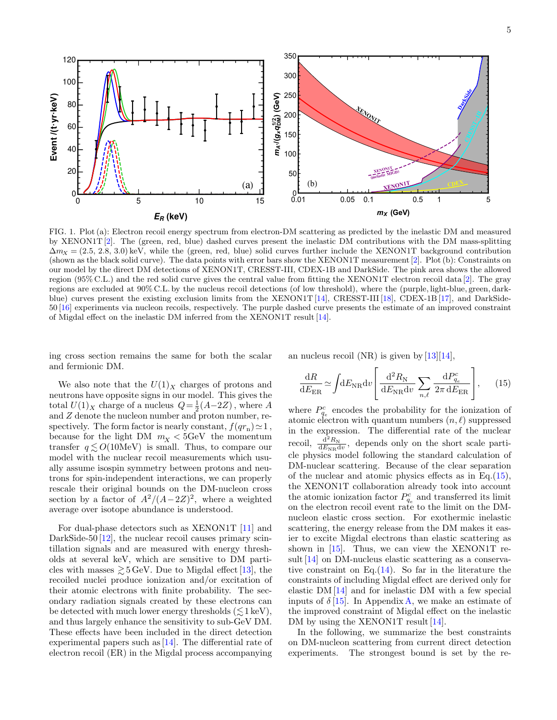

<span id="page-4-0"></span>FIG. 1. Plot (a): Electron recoil energy spectrum from electron-DM scattering as predicted by the inelastic DM and measured by XENON1T [\[2\]](#page-11-1). The (green, red, blue) dashed curves present the inelastic DM contributions with the DM mass-splitting  $\Delta m_X = (2.5, 2.8, 3.0)$  keV, while the (green, red, blue) solid curves further include the XENON1T background contribution (shown as the black solid curve). The data points with error bars show the XENON1T measurement [\[2\]](#page-11-1). Plot (b): Constraints on our model by the direct DM detections of XENON1T, CRESST-III, CDEX-1B and DarkSide. The pink area shows the allowed region (95% C.L.) and the red solid curve gives the central value from fitting the XENON1T electron recoil data [\[2\]](#page-11-1). The gray regions are excluded at 90% C.L. by the nucleus recoil detections (of low threshold), where the (purple, light-blue, green, darkblue) curves present the existing exclusion limits from the XENON1T [\[14\]](#page-12-4), CRESST-III [\[18\]](#page-12-5), CDEX-1B [\[17\]](#page-12-6), and DarkSide-50 [\[16\]](#page-12-7) experiments via nucleon recoils, respectively. The purple dashed curve presents the estimate of an improved constraint of Migdal effect on the inelastic DM inferred from the XENON1T result [\[14\]](#page-12-4).

ing cross section remains the same for both the scalar and fermionic DM.

We also note that the  $U(1)_X$  charges of protons and neutrons have opposite signs in our model. This gives the total  $U(1)_X$  charge of a nucleus  $Q = \frac{1}{2}(A-2Z)$ , where A and Z denote the nucleon number and proton number, respectively. The form factor is nearly constant,  $f(qr_n) \approx 1$ , because for the light DM  $m_X < 5$ GeV the momentum transfer  $q \leq O(10 \text{MeV})$  is small. Thus, to compare our model with the nuclear recoil measurements which usually assume isospin symmetry between protons and neutrons for spin-independent interactions, we can properly rescale their original bounds on the DM-nucleon cross section by a factor of  $A^2/(A-2Z)^2$ , where a weighted average over isotope abundance is understood.

For dual-phase detectors such as XENON1T [\[11\]](#page-12-10) and DarkSide-50 [\[12\]](#page-12-11), the nuclear recoil causes primary scintillation signals and are measured with energy thresholds at several keV, which are sensitive to DM particles with masses  $\geq 5 \,\text{GeV}$ . Due to Migdal effect [\[13\]](#page-12-12), the recoiled nuclei produce ionization and/or excitation of their atomic electrons with finite probability. The secondary radiation signals created by these electrons can be detected with much lower energy thresholds  $(\leq 1 \,\text{keV})$ , and thus largely enhance the sensitivity to sub-GeV DM. These effects have been included in the direct detection experimental papers such as [\[14\]](#page-12-4). The differential rate of electron recoil (ER) in the Migdal process accompanying

an nucleus recoil (NR) is given by  $[13][14]$  $[13][14]$ ,

<span id="page-4-1"></span>
$$
\frac{\mathrm{d}R}{\mathrm{d}E_{\mathrm{ER}}} \simeq \int \! \mathrm{d}E_{\mathrm{NR}} \mathrm{d}v \left[ \frac{\mathrm{d}^2 R_{\mathrm{N}}}{\mathrm{d}E_{\mathrm{NR}} \mathrm{d}v} \sum_{n,\ell} \frac{\mathrm{d}P_{q_e}^c}{2\pi \mathrm{d}E_{\mathrm{ER}}} \right],\qquad(15)
$$

where  $P_{q_e}^c$  encodes the probability for the ionization of atomic electron with quantum numbers  $(n, \ell)$  suppressed in the expression. The differential rate of the nuclear recoil,  $\frac{d^2 R_N}{dE_{\text{rad}}}$  $\frac{d^2 K_N}{dE_{\text{NR}} d v}$ , depends only on the short scale particle physics model following the standard calculation of DM-nuclear scattering. Because of the clear separation of the nuclear and atomic physics effects as in Eq.[\(15\)](#page-4-1), the XENON1T collaboration already took into account the atomic ionization factor  $P_{q_e}^c$  and transferred its limit on the electron recoil event rate to the limit on the DMnucleon elastic cross section. For exothermic inelastic scattering, the energy release from the DM makes it easier to excite Migdal electrons than elastic scattering as shown in [\[15\]](#page-12-13). Thus, we can view the XENON1T result [\[14\]](#page-12-4) on DM-nucleus elastic scattering as a conservative constraint on Eq. $(14)$ . So far in the literature the constraints of including Migdal effect are derived only for elastic DM [\[14\]](#page-12-4) and for inelastic DM with a few special inputs of  $\delta$  [\[15\]](#page-12-13). In Appendix [A,](#page-9-0) we make an estimate of the improved constraint of Migdal effect on the inelastic DM by using the XENON1T result [\[14\]](#page-12-4).

In the following, we summarize the best constraints on DM-nucleon scattering from current direct detection experiments. The strongest bound is set by the re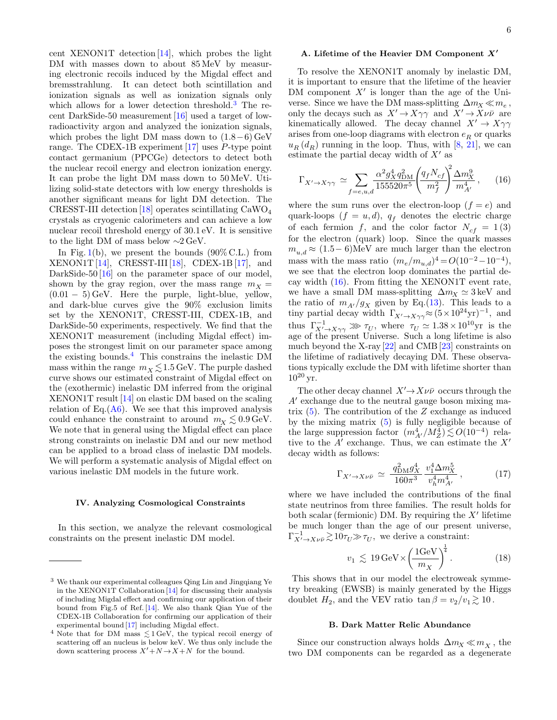cent XENON1T detection  $[14]$ , which probes the light DM with masses down to about  $85 \,\text{MeV}$  by measuring electronic recoils induced by the Migdal effect and bremsstrahlung. It can detect both scintillation and ionization signals as well as ionization signals only which allows for a lower detection threshold.<sup>[3](#page-5-1)</sup> The recent DarkSide-50 measurement [\[16\]](#page-12-7) used a target of lowradioactivity argon and analyzed the ionization signals, which probes the light DM mass down to  $(1.8-6)$  GeV range. The CDEX-1B experiment [\[17\]](#page-12-6) uses P-type point contact germanium (PPCGe) detectors to detect both the nuclear recoil energy and electron ionization energy. It can probe the light DM mass down to 50 MeV. Utilizing solid-state detectors with low energy thresholds is another significant means for light DM detection. The CRESST-III detection  $[18]$  operates scintillating  $\text{CaWO}_4$ crystals as cryogenic calorimeters and can achieve a low nuclear recoil threshold energy of 30.1 eV. It is sensitive to the light DM of mass below ∼2 GeV.

In Fig.  $1(b)$  $1(b)$ , we present the bounds  $(90\% \text{ C.L.})$  from XENON1T  $[14]$ , CRESST-III  $[18]$ , CDEX-1B  $[17]$ , and DarkSide-50 [\[16\]](#page-12-7) on the parameter space of our model, shown by the gray region, over the mass range  $m<sub>x</sub>$  =  $(0.01 - 5)$  GeV. Here the purple, light-blue, yellow, and dark-blue curves give the 90% exclusion limits set by the XENON1T, CRESST-III, CDEX-1B, and DarkSide-50 experiments, respectively. We find that the XENON1T measurement (including Migdal effect) imposes the strongest limit on our parameter space among the existing bounds.[4](#page-5-2) This constrains the inelastic DM mass within the range  $m_X \lesssim 1.5$  GeV. The purple dashed curve shows our estimated constraint of Migdal effect on the (exothermic) inelastic DM inferred from the original XENON1T result [\[14\]](#page-12-4) on elastic DM based on the scaling relation of Eq. $(A6)$ . We see that this improved analysis could enhance the constraint to around  $m_X \lesssim 0.9 \,\text{GeV}$ . We note that in general using the Migdal effect can place strong constraints on inelastic DM and our new method can be applied to a broad class of inelastic DM models. We will perform a systematic analysis of Migdal effect on various inelastic DM models in the future work.

## <span id="page-5-0"></span>IV. Analyzing Cosmological Constraints

In this section, we analyze the relevant cosmological constraints on the present inelastic DM model.

## A. Lifetime of the Heavier DM Component  $X'$

To resolve the XENON1T anomaly by inelastic DM, it is important to ensure that the lifetime of the heavier DM component  $X'$  is longer than the age of the Universe. Since we have the DM mass-splitting  $\Delta m_X \ll m_e$ , only the decays such as  $X' \to X\gamma\gamma$  and  $X' \to X\nu\bar{\nu}$  are kinematically allowed. The decay channel  $X' \to X\gamma\gamma$ arises from one-loop diagrams with electron  $\boldsymbol{e}_R$  or quarks  $u_R(d_R)$  running in the loop. Thus, with [\[8,](#page-12-0) [21\]](#page-12-14), we can estimate the partial decay width of  $X'$  as

<span id="page-5-3"></span>
$$
\Gamma_{X' \to X\gamma\gamma} \simeq \sum_{f=e,u,d} \frac{\alpha^2 g_X^4 q_{\rm DM}^2}{155520\pi^5} \left(\frac{q_f N_{cf}}{m_f^2}\right)^2 \frac{\Delta m_X^9}{m_{A'}^4},\qquad(16)
$$

where the sum runs over the electron-loop  $(f = e)$  and quark-loops  $(f = u, d)$ ,  $q_f$  denotes the electric charge of each fermion f, and the color factor  $N_{cf} = 1 (3)$ for the electron (quark) loop. Since the quark masses  $m_{u,d} \approx (1.5-6)$ MeV are much larger than the electron mass with the mass ratio  $(m_e/m_{u,d})^4 = O(10^{-2} - 10^{-4}),$ we see that the electron loop dominates the partial decay width [\(16\)](#page-5-3). From fitting the XENON1T event rate, we have a small DM mass-splitting  $\Delta m_X \simeq 3 \,\text{keV}$  and the ratio of  $m_{A'}/g_X$  given by Eq.[\(13\)](#page-3-1). This leads to a tiny partial decay width  $\Gamma_{X'\to X\gamma\gamma} \approx (5\times10^{24} \text{yr})^{-1}$ , and thus  $\Gamma_{X'\to X\gamma\gamma}^{-1} \gg \tau_U$ , where  $\tau_U \simeq 1.38 \times 10^{10}$ yr is the age of the present Universe. Such a long lifetime is also much beyond the X-ray [\[22\]](#page-12-15) and CMB [\[23\]](#page-12-16) constraints on the lifetime of radiatively decaying DM. These observations typically exclude the DM with lifetime shorter than  $10^{20}$  yr.

The other decay channel  $X' \rightarrow X \nu \bar{\nu}$  occurs through the  $A'$  exchange due to the neutral gauge boson mixing matrix  $(5)$ . The contribution of the Z exchange as induced by the mixing matrix [\(5\)](#page-2-3) is fully negligible because of the large suppression factor  $(m_{A'}^4/M_Z^4) \lesssim O(10^{-4})$  relative to the  $A'$  exchange. Thus, we can estimate the  $X'$ decay width as follows:

$$
\Gamma_{X' \to X \nu \bar{\nu}} \simeq \frac{q_{\rm DM}^2 g_X^4}{160 \pi^3} \frac{v_1^4 \Delta m_X^5}{v_h^4 m_{A'}^4}, \qquad (17)
$$

where we have included the contributions of the final state neutrinos from three families. The result holds for both scalar (fermionic) DM. By requiring the  $X'$  lifetime be much longer than the age of our present universe,  $\Gamma_{X'\to X\nu\bar{\nu}}^{-1} \gtrsim 10\tau_U \gg \tau_U$ , we derive a constraint:

$$
v_1 \lesssim 19 \,\text{GeV} \times \left(\frac{1 \text{GeV}}{m_X}\right)^{\frac{1}{4}}.\tag{18}
$$

This shows that in our model the electroweak symmetry breaking (EWSB) is mainly generated by the Higgs doublet  $H_2$ , and the VEV ratio  $\tan \beta = v_2/v_1 \gtrsim 10$ .

## B. Dark Matter Relic Abundance

Since our construction always holds  $\Delta m_X \ll m_X$ , the two DM components can be regarded as a degenerate

<span id="page-5-1"></span><sup>3</sup> We thank our experimental colleagues Qing Lin and Jingqiang Ye in the XENON1T Collaboration [\[14\]](#page-12-4) for discussing their analysis of including Migdal effect and confirming our application of their bound from Fig.5 of Ref. [\[14\]](#page-12-4). We also thank Qian Yue of the CDEX-1B Collaboration for confirming our application of their experimental bound [\[17\]](#page-12-6) including Migdal effect.

<span id="page-5-2"></span>Note that for DM mass  $\lesssim 1 \,\text{GeV}$ , the typical recoil energy of scattering off an nucleus is below keV. We thus only include the down scattering process  $X'+N \to X+N$  for the bound.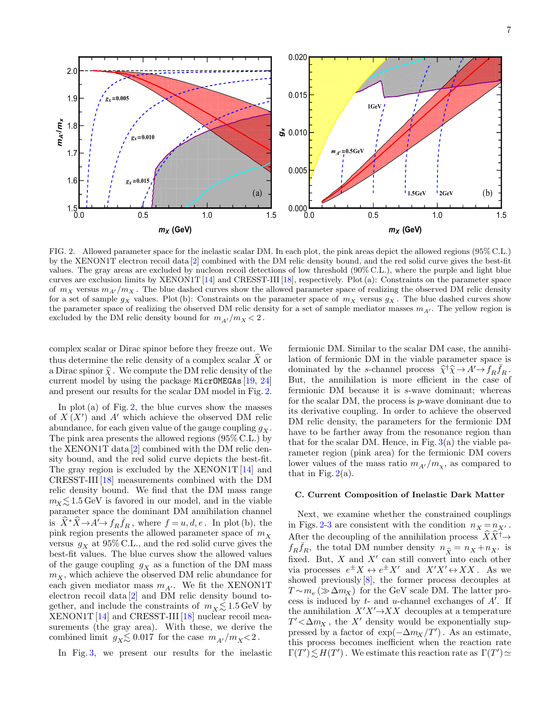0.0 0.5 1.0 1.5  $1.5$  – 0.0 1.6 1.7 1.8 1.9 2.0  $m_X$  (GeV) mA**'/**m x gx**=0.005** gx**=0.010** gx**=0.015** (a) 0.0 0.5 1.0 1.5  $-0.000$ <br>0.0 0.005 వ 0.010 0.015 0.020  $m_X$  (GeV)  $m_A \neq 0.5$ GeV **1GeV 1.5GeV 2GeV** (b)

<span id="page-6-0"></span>FIG. 2. Allowed parameter space for the inelastic scalar DM. In each plot, the pink areas depict the allowed regions (95% C.L.) by the XENON1T electron recoil data [\[2\]](#page-11-1) combined with the DM relic density bound, and the red solid curve gives the best-fit values. The gray areas are excluded by nucleon recoil detections of low threshold (90% C.L.), where the purple and light blue curves are exclusion limits by XENON1T [\[14\]](#page-12-4) and CRESST-III [\[18\]](#page-12-5), respectively. Plot (a): Constraints on the parameter space of  $m_X$  versus  $m_{A'}/m_X$ . The blue dashed curves show the allowed parameter space of realizing the observed DM relic density for a set of sample  $g_X$  values. Plot (b): Constraints on the parameter space of  $m_X$  versus  $g_X$ . The blue dashed curves show the parameter space of realizing the observed DM relic density for a set of sample mediator masses  $m_{A'}$ . The yellow region is excluded by the DM relic density bound for  $m_{A'}/m_X < 2$ .

complex scalar or Dirac spinor before they freeze out. We thus determine the relic density of a complex scalar  $\hat{X}$  or a Dirac spinor  $\hat{\chi}$ . We compute the DM relic density of the current model by using the package MicrOMEGAs [\[19,](#page-12-8) [24\]](#page-12-17) and present our results for the scalar DM model in Fig. [2.](#page-6-0)

In plot (a) of Fig. [2,](#page-6-0) the blue curves show the masses of  $X(X')$  and A' which achieve the observed DM relic abundance, for each given value of the gauge coupling  $g_X$ . The pink area presents the allowed regions (95% C.L.) by the XENON1T data [\[2\]](#page-11-1) combined with the DM relic density bound, and the red solid curve depicts the best-fit. The gray region is excluded by the XENON1T [\[14\]](#page-12-4) and CRESST-III [\[18\]](#page-12-5) measurements combined with the DM relic density bound. We find that the DM mass range  $m_{\rm X} \leq 1.5$  GeV is favored in our model, and in the viable parameter space the dominant DM annihilation channel is  $\widehat{X}^*\widehat{X} \to A' \to f_R \bar{f}_R$ , where  $f = u, d, e$ . In plot (b), the pink region presents the allowed parameter space of  $m_X$ versus  $g_X$  at 95% C.L., and the red solid curve gives the best-fit values. The blue curves show the allowed values of the gauge coupling  $g_X$  as a function of the DM mass  $m_X$ , which achieve the observed DM relic abundance for each given mediator mass  $m_{A'}$ . We fit the XENON1T electron recoil data [\[2\]](#page-11-1) and DM relic density bound together, and include the constraints of  $m_{\chi} \leq 1.5 \,\text{GeV}$  by XENON1T [\[14\]](#page-12-4) and CRESST-III [\[18\]](#page-12-5) nuclear recoil measurements (the gray area). With these, we derive the combined limit  $g_X \lesssim 0.017$  for the case  $m_{A'}/m_X < 2$ .

In Fig. [3,](#page-7-1) we present our results for the inelastic

fermionic DM. Similar to the scalar DM case, the annihilation of fermionic DM in the viable parameter space is dominated by the s-channel process  $\hat{\chi}^{\dagger} \hat{\chi} \rightarrow A' \rightarrow f_R \bar{f}_R$ .<br>But the annihilation is more efficient in the case of But, the annihilation is more efficient in the case of fermionic DM because it is s-wave dominant; whereas for the scalar DM, the process is p-wave dominant due to its derivative coupling. In order to achieve the observed DM relic density, the parameters for the fermionic DM have to be farther away from the resonance region than that for the scalar DM. Hence, in Fig.  $3(a)$  $3(a)$  the viable parameter region (pink area) for the fermionic DM covers lower values of the mass ratio  $m_{A'}/m_{\chi}$ , as compared to that in Fig.  $2(a)$  $2(a)$ .

### C. Current Composition of Inelastic Dark Matter

Next, we examine whether the constrained couplings in Figs. [2](#page-6-0)[-3](#page-7-1) are consistent with the condition  $n_X = n_{X'}$ . After the decoupling of the annihilation process  $\hat{X}\hat{X}^{\dagger}\rightarrow$  $f_R \bar{f}_R$ , the total DM number density  $n_{\hat{X}} = n_X + n_{X'}$  is fixed. But,  $X$  and  $X'$  can still convert into each other via processes  $e^{\pm} X \leftrightarrow e^{\pm} X'$  and  $X' X' \leftrightarrow X X$ . As we showed previously [\[8\]](#page-12-0), the former process decouples at  $T \sim m_e \left(\gg \Delta m_X\right)$  for the GeV scale DM. The latter process is induced by  $t$ - and  $u$ -channel exchanges of  $A'$ . If the annihilation  $X'X' \rightarrow XX$  decouples at a temperature  $T' < \Delta m_X$ , the X' density would be exponentially suppressed by a factor of  $\exp(-\Delta m_X/T')$ . As an estimate, this process becomes inefficient when the reaction rate  $\Gamma(T') \lesssim H(T')$ . We estimate this reaction rate as  $\Gamma(T') \simeq$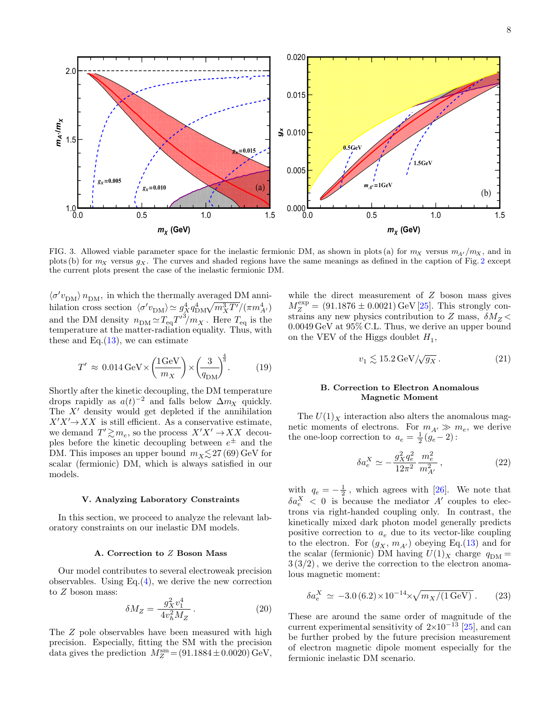0.0 0.5 1.0 1.5  $^{1.0}$   $^{1.0}$ 1.5 2.0 m**<sup>χ</sup> (GeV)** m A**'/**m **χ** gx**=0.005** gx**=0.010** gx**=0.015** (a) 0.0 0.5 1.0 1.5  $0.000 - 0.0$ 0.005 వ  $0.010$ 0.015 m**<sup>χ</sup> (GeV) 0.5GeV**  $m_A$  $=$ **1GeV 1.5GeV** (b)

0.020

<span id="page-7-1"></span>FIG. 3. Allowed viable parameter space for the inelastic fermionic DM, as shown in plots (a) for  $m_X$  versus  $m_{A'}/m_X$ , and in plots (b) for  $m<sub>X</sub>$  versus  $g<sub>X</sub>$ . The curves and shaded regions have the same meanings as defined in the caption of Fig. [2](#page-6-0) except the current plots present the case of the inelastic fermionic DM.

 $\langle \sigma' v_{\rm DM} \rangle \, n_{\rm DM},$  in which the thermally averaged DM annihilation cross section  $\langle \sigma' v_{\rm DM} \rangle \simeq g_X^4 q_{\rm DM}^4 \sqrt{m_X^3 T'}/(\pi m_{A'}^4)$ and the DM density  $n_{\rm DM} \simeq T_{\rm eq} T'^3/m_X$ . Here  $T_{\rm eq}$  is the temperature at the matter-radiation equality. Thus, with these and Eq. $(13)$ , we can estimate

$$
T' \approx 0.014 \,\text{GeV} \times \left(\frac{1 \,\text{GeV}}{m_X}\right) \times \left(\frac{3}{q_{\text{DM}}}\right)^{\frac{4}{3}}.\tag{19}
$$

Shortly after the kinetic decoupling, the DM temperature drops rapidly as  $a(t)^{-2}$  and falls below  $\Delta m_X$  quickly. The  $X'$  density would get depleted if the annihilation  $X'X' \rightarrow XX$  is still efficient. As a conservative estimate, we demand  $T' \gtrsim m_e$ , so the process  $X'X' \to XX$  decouples before the kinetic decoupling between  $e^{\pm}$  and the DM. This imposes an upper bound  $m_X \leq 27 (69)$  GeV for scalar (fermionic) DM, which is always satisfied in our models.

### V. Analyzing Laboratory Constraints

<span id="page-7-0"></span>In this section, we proceed to analyze the relevant laboratory constraints on our inelastic DM models.

#### A. Correction to Z Boson Mass

Our model contributes to several electroweak precision observables. Using Eq. $(4)$ , we derive the new correction to Z boson mass:

$$
\delta M_Z = \frac{g_X^2 v_1^4}{4v_h^2 M_Z} \,. \tag{20}
$$

The Z pole observables have been measured with high precision. Especially, fitting the SM with the precision data gives the prediction  $M_Z^{\text{sm}} = (91.1884 \pm 0.0020) \,\text{GeV}$ , while the direct measurement of  $Z$  boson mass gives  $M_Z^{\text{exp}} = (91.1876 \pm 0.0021) \text{ GeV} [25]$  $M_Z^{\text{exp}} = (91.1876 \pm 0.0021) \text{ GeV} [25]$ . This strongly constrains any new physics contribution to Z mass,  $\delta M_Z$ 0.0049 GeV at 95% C.L. Thus, we derive an upper bound on the VEV of the Higgs doublet  $H_1$ ,

$$
v_1 \lesssim 15.2 \,\text{GeV} / \sqrt{g_X} \,. \tag{21}
$$

### B. Correction to Electron Anomalous Magnetic Moment

The  $U(1)_X$  interaction also alters the anomalous magnetic moments of electrons. For  $m_{A'} \gg m_e$ , we derive the one-loop correction to  $a_e = \frac{1}{2}(\overrightarrow{g_e} - 2)$ :

$$
\delta a_e^X \simeq -\frac{g_X^2 q_e^2}{12\pi^2} \frac{m_e^2}{m_{A'}^2},\tag{22}
$$

with  $q_e = -\frac{1}{2}$ , which agrees with [\[26\]](#page-12-19). We note that  $\delta a_e^X$  < 0 is because the mediator A' couples to electrons via right-handed coupling only. In contrast, the kinetically mixed dark photon model generally predicts positive correction to  $a_e$  due to its vector-like coupling to the electron. For  $(g_X, m_{A})$  obeying Eq.[\(13\)](#page-3-1) and for the scalar (fermionic) DM having  $U(1)_X$  charge  $q_{DM} =$  $3(3/2)$ , we derive the correction to the electron anomalous magnetic moment:

$$
\delta a_e^X \simeq -3.0\,(6.2)\times 10^{-14} \times \sqrt{m_X/(1\,\text{GeV})} \,. \tag{23}
$$

These are around the same order of magnitude of the current experimental sensitivity of  $2\times10^{-13}$  [\[25\]](#page-12-18), and can be further probed by the future precision measurement of electron magnetic dipole moment especially for the fermionic inelastic DM scenario.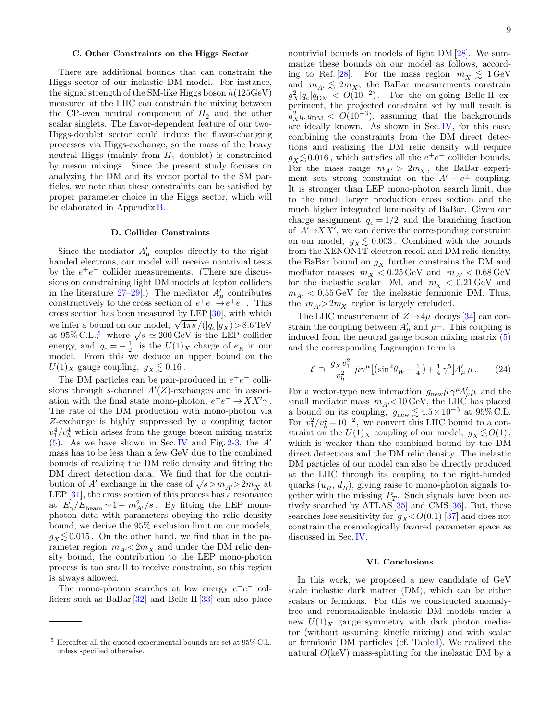## C. Other Constraints on the Higgs Sector

There are additional bounds that can constrain the Higgs sector of our inelastic DM model. For instance, the signal strength of the SM-like Higgs boson  $h(125 \text{GeV})$ measured at the LHC can constrain the mixing between the CP-even neutral component of  $H_2$  and the other scalar singlets. The flavor-dependent feature of our two-Higgs-doublet sector could induce the flavor-changing processes via Higgs-exchange, so the mass of the heavy neutral Higgs (mainly from  $H_1$  doublet) is constrained by meson mixings. Since the present study focuses on analyzing the DM and its vector portal to the SM particles, we note that these constraints can be satisfied by proper parameter choice in the Higgs sector, which will be elaborated in Appendix [B.](#page-10-0)

#### D. Collider Constraints

<span id="page-8-1"></span>Since the mediator  $A'_\mu$  couples directly to the righthanded electrons, our model will receive nontrivial tests by the  $e^+e^-$  collider measurements. (There are discussions on constraining light DM models at lepton colliders in the literature [\[27–](#page-12-20)[29\]](#page-12-21).) The mediator  $A'_{\mu}$  contributes constructively to the cross section of  $e^+e^- \rightarrow e^+e^-$ . This cross section has been measured by LEP [\[30\]](#page-12-22), with which cross section has been measured by LEP [30], with which<br>we infer a bound on our model,  $\sqrt{4\pi s}/(|q_e|g_X)$  > 8.6 TeV we inter a bound on our model,  $\sqrt{4\pi s}/(|q_e|g_X) > 8.0$  Lev<br>at 9[5](#page-8-2)% C.L., where  $\sqrt{s} \simeq 200 \,\text{GeV}$  is the LEP collider energy, and  $q_e = -\frac{1}{2}$  is the  $U(1)_X$  charge of  $e_R$  in our model. From this we deduce an upper bound on the  $U(1)_X$  gauge coupling,  $g_X \lesssim 0.16$ .

The DM particles can be pair-produced in  $e^+e^-$  collisions through s-channel  $A'(Z)$ -exchanges and in association with the final state mono-photon,  $e^+e^- \to X X' \gamma$ . The rate of the DM production with mono-photon via Z-exchange is highly suppressed by a coupling factor  $v_1^4/v_h^4$  which arises from the gauge boson mixing matrix  $(5)$ . As we have shown in Sec. [IV](#page-5-0) and Fig. [2-](#page-6-0)[3,](#page-7-1) the A' mass has to be less than a few GeV due to the combined bounds of realizing the DM relic density and fitting the DM direct detection data. We find that for the contribution of A<sup> $\prime$ </sup> exchange in the case of  $\sqrt{s} > m_{A'} > 2m_X$  at LEP [\[31\]](#page-12-23), the cross section of this process has a resonance at  $E_{\gamma}/E_{\text{beam}} \sim 1 - m_{A'}^2/s$ . By fitting the LEP monophoton data with parameters obeying the relic density bound, we derive the 95% exclusion limit on our models,  $g_X \leq 0.015$ . On the other hand, we find that in the parameter region  $m_{A'} < 2m_X$  and under the DM relic density bound, the contribution to the LEP mono-photon process is too small to receive constraint, so this region is always allowed.

The mono-photon searches at low energy  $e^+e^-$  colliders such as BaBar [\[32\]](#page-12-24) and Belle-II [\[33\]](#page-13-0) can also place nontrivial bounds on models of light DM [\[28\]](#page-12-25). We summarize these bounds on our model as follows, accord-ing to Ref. [\[28\]](#page-12-25). For the mass region  $m_X \lesssim 1 \,\text{GeV}$ and  $m_{A'} \lesssim 2m_X$ , the BaBar measurements constrain  $g_X^2 |q_e| q_{\text{DM}}^2 < O(10^{-2})$ . For the on-going Belle-II experiment, the projected constraint set by null result is  $g_X^2 q_e q_{\text{DM}} < O(10^{-3})$ , assuming that the backgrounds are ideally known. As shown in Sec.[IV,](#page-5-0) for this case, combining the constraints from the DM direct detections and realizing the DM relic density will require  $g_X \lesssim 0.016$ , which satisfies all the  $e^+e^-$  collider bounds. For the mass range  $m_{A'} > 2m_X$ , the BaBar experiment sets strong constraint on the  $A'-e^{\pm}$  coupling. It is stronger than LEP mono-photon search limit, due to the much larger production cross section and the much higher integrated luminosity of BaBar. Given our charge assignment  $q_e = 1/2$  and the branching fraction of  $A' \rightarrow XX'$ , we can derive the corresponding constraint on our model,  $g_X \leq 0.003$ . Combined with the bounds from the XENON1T electron recoil and DM relic density, the BaBar bound on  $g_X$  further constrains the DM and mediator masses  $m_X < 0.25 \,\text{GeV}$  and  $m_{A'} < 0.68 \,\text{GeV}$ for the inelastic scalar DM, and  $m_X < 0.21 \,\text{GeV}$  and  $m_{A'} < 0.55 \,\text{GeV}$  for the inelastic fermionic DM. Thus, the  $m_{A'} > 2m_X$  region is largely excluded.

The LHC measurement of  $Z \rightarrow 4\mu$  decays [\[34\]](#page-13-1) can constrain the coupling between  $A'_{\mu}$  and  $\mu^{\pm}$ . This coupling is induced from the neutral gauge boson mixing matrix [\(5\)](#page-2-3) and the corresponding Lagrangian term is

$$
\mathcal{L} \supset \frac{g_X v_1^2}{v_h^2} \bar{\mu} \gamma^{\mu} \left[ \left( \sin^2 \theta_W - \frac{1}{4} \right) + \frac{1}{4} \gamma^5 \right] A'_{\mu} \mu \,. \tag{24}
$$

For a vector-type new interaction  $g_{\text{new}}\bar{\mu}\gamma^{\mu}A'_{\mu}\mu$  and the small mediator mass  $m_{A'} < 10 \,\text{GeV}$ , the LHC has placed a bound on its coupling,  $g_{\text{new}} \lesssim 4.5 \times 10^{-3}$  at 95% C.L. For  $v_1^2/v_h^2 = 10^{-2}$ , we convert this LHC bound to a constraint on the  $U(1)_X$  coupling of our model,  $g_X \leq O(1)$ , which is weaker than the combined bound by the DM direct detections and the DM relic density. The inelastic DM particles of our model can also be directly produced at the LHC through its coupling to the right-handed quarks  $(u_R, d_R)$ , giving raise to mono-photon signals together with the missing  $P_T$ . Such signals have been actively searched by  $ATLAS$  [\[35\]](#page-13-2) and CMS [\[36\]](#page-13-3). But, these searches lose sensitivity for  $g_X < O(0.1)$  [\[37\]](#page-13-4) and does not constrain the cosmologically favored parameter space as discussed in Sec.[IV.](#page-5-0)

#### VI. Conclusions

<span id="page-8-0"></span>In this work, we proposed a new candidate of GeV scale inelastic dark matter (DM), which can be either scalars or fermions. For this we constructed anomalyfree and renormalizable inelastic DM models under a new  $U(1)_X$  gauge symmetry with dark photon mediator (without assuming kinetic mixing) and with scalar or fermionic DM particles (cf. Table [I\)](#page-2-0). We realized the natural  $O(\text{keV})$  mass-splitting for the inelastic DM by a

<span id="page-8-2"></span><sup>5</sup> Hereafter all the quoted experimental bounds are set at 95% C.L. unless specified otherwise.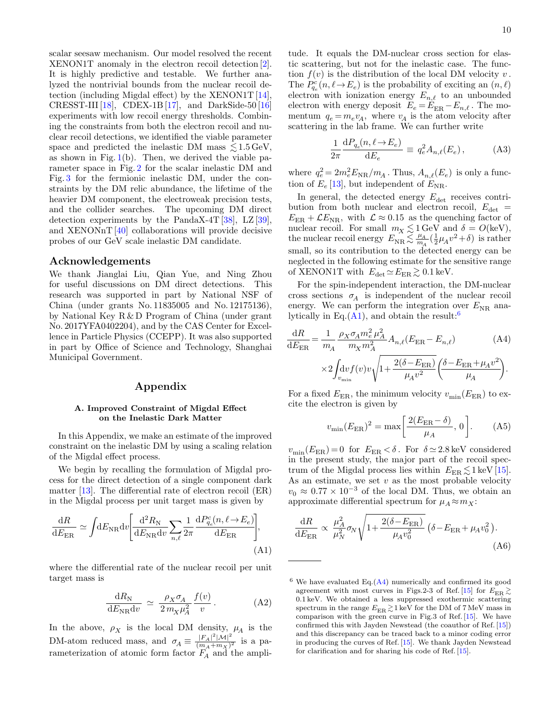scalar seesaw mechanism. Our model resolved the recent XENON1T anomaly in the electron recoil detection [\[2\]](#page-11-1). It is highly predictive and testable. We further analyzed the nontrivial bounds from the nuclear recoil detection (including Migdal effect) by the XENON1T [\[14\]](#page-12-4), CRESST-III  $[18]$ , CDEX-1B  $[17]$ , and DarkSide-50  $[16]$ experiments with low recoil energy thresholds. Combining the constraints from both the electron recoil and nuclear recoil detections, we identified the viable parameter space and predicted the inelastic DM mass  $\lesssim 1.5 \,\text{GeV}$ , as shown in Fig.  $1(b)$  $1(b)$ . Then, we derived the viable parameter space in Fig. [2](#page-6-0) for the scalar inelastic DM and Fig. [3](#page-7-1) for the fermionic inelastic DM, under the constraints by the DM relic abundance, the lifetime of the heavier DM component, the electroweak precision tests, and the collider searches. The upcoming DM direct detection experiments by the PandaX-4T  $[38]$ , LZ  $[39]$ ,

## Acknowledgements

We thank Jianglai Liu, Qian Yue, and Ning Zhou for useful discussions on DM direct detections. This research was supported in part by National NSF of China (under grants No. 11835005 and No. 12175136), by National Key R & D Program of China (under grant No. 2017YFA0402204), and by the CAS Center for Excellence in Particle Physics (CCEPP). It was also supported in part by Office of Science and Technology, Shanghai Municipal Government.

and XENONnT [\[40\]](#page-13-7) collaborations will provide decisive

probes of our GeV scale inelastic DM candidate.

## Appendix

## <span id="page-9-0"></span>A. Improved Constraint of Migdal Effect on the Inelastic Dark Matter

In this Appendix, we make an estimate of the improved constraint on the inelastic DM by using a scaling relation of the Migdal effect process.

We begin by recalling the formulation of Migdal process for the direct detection of a single component dark matter [\[13\]](#page-12-12). The differential rate of electron recoil (ER) in the Migdal process per unit target mass is given by

<span id="page-9-2"></span>
$$
\frac{\mathrm{d}R}{\mathrm{d}E_{\mathrm{ER}}} \simeq \int \! \mathrm{d}E_{\mathrm{NR}} \mathrm{d}v \left[ \frac{\mathrm{d}^2 R_{\mathrm{N}}}{\mathrm{d}E_{\mathrm{NR}} \mathrm{d}v} \sum_{n,\ell} \frac{1}{2\pi} \frac{\mathrm{d}P_{q_e}^c(n,\ell \to E_e)}{\mathrm{d}E_{\mathrm{ER}}} \right],\tag{A1}
$$

where the differential rate of the nuclear recoil per unit target mass is

$$
\frac{dR_N}{dE_{NR}dv} \simeq \frac{\rho_X \sigma_A}{2 m_X \mu_A^2} \frac{f(v)}{v}.
$$
 (A2)

In the above,  $\rho_X$  is the local DM density,  $\mu_A$  is the DM-atom reduced mass, and  $\sigma_A \equiv \frac{|F_A|^2 |M|^2}{(m_A + m_Y)^2}$  $\frac{|F_A|}{(m_A+m_X)^2}$  is a parameterization of atomic form factor  $F_A$  and the amplitude. It equals the DM-nuclear cross section for elastic scattering, but not for the inelastic case. The function  $f(v)$  is the distribution of the local DM velocity  $v$ . The  $P_{q_e}^c(n, \ell \to E_e)$  is the probability of exciting an  $(n, \ell)$ electron with ionization energy  $E_{n,\ell}$  to an unbounded electron with energy deposit  $E_e = E_{ER} - E_{n,\ell}$ . The momentum  $q_e = m_e v_A$ , where  $v_A$  is the atom velocity after scattering in the lab frame. We can further write

$$
\frac{1}{2\pi} \frac{\mathrm{d}P_{q_e}(n,\ell \to E_e)}{\mathrm{d}E_e} \equiv q_e^2 A_{n,\ell}(E_e) \,, \tag{A3}
$$

where  $q_e^2 = 2m_e^2 E_{\rm NR}/m_A$ . Thus,  $A_{n,\ell}(E_e)$  is only a function of  $E_e$  [\[13\]](#page-12-12), but independent of  $E_{\text{NR}}$ .

In general, the detected energy  $E_{\rm det}$  receives contribution from both nuclear and electron recoil,  $E_{\text{det}} =$  $E_{\text{ER}} + \mathcal{L}E_{\text{NR}}$ , with  $\mathcal{L} \approx 0.15$  as the quenching factor of nuclear recoil. For small  $m_X \lesssim 1 \,\text{GeV}$  and  $\delta = O(\text{keV})$ , the nuclear recoil energy  $E_{\rm NR} \lesssim \frac{\mu_A}{m_A}$  $\frac{\mu_A}{m_A}(\frac{1}{2}\mu_A v^2+\delta)$  is rather small, so its contribution to the detected energy can be neglected in the following estimate for the sensitive range of XENON1T with  $E_{\text{det}} \simeq E_{\text{ER}} \gtrsim 0.1 \text{ keV}$ .

For the spin-independent interaction, the DM-nuclear cross sections  $\sigma_A$  is independent of the nuclear recoil energy. We can perform the integration over  $E_{\text{NR}}$  analytically in Eq. $(A1)$ , and obtain the result:<sup>[6](#page-9-3)</sup>

<span id="page-9-4"></span> $\alpha$   $\alpha$ 

$$
\frac{dR}{dE_{ER}} = \frac{1}{m_A} \frac{\rho_X \sigma_A m_e^2 \mu_A^2}{m_X m_A^2} A_{n,\ell} (E_{ER} - E_{n,\ell})
$$
(A4)  

$$
\times 2 \int_{v_{\min}} dv f(v) v \sqrt{1 + \frac{2(\delta - E_{ER})}{\mu_A v^2}} \left(\frac{\delta - E_{ER} + \mu_A v^2}{\mu_A}\right).
$$

For a fixed  $E_{\text{ER}}$ , the minimum velocity  $v_{\text{min}}(E_{\text{ER}})$  to excite the electron is given by

$$
v_{\min}(E_{\text{ER}})^2 = \max\left[\frac{2(E_{\text{ER}} - \delta)}{\mu_A}, 0\right].\tag{A5}
$$

 $v_{\rm min}(E_{\rm ER})\,{=}\,0\,$  for  $\,E_{\rm ER}<\delta\,.$  For  $\,\delta\,{\simeq}\,2.8\,{\rm keV}$  considered in the present study, the major part of the recoil spectrum of the Migdal process lies within  $E_{\text{ER}} \lesssim 1 \,\text{keV}$  [\[15\]](#page-12-13). As an estimate, we set  $v$  as the most probable velocity  $v_0 \approx 0.77 \times 10^{-3}$  of the local DM. Thus, we obtain an approximate differential spectrum for  $\mu_A \approx m_X$ :

<span id="page-9-1"></span>
$$
\frac{\mathrm{d}R}{\mathrm{d}E_{\rm ER}} \propto \frac{\mu_A^2}{\mu_N^2} \sigma_N \sqrt{1 + \frac{2(\delta - E_{\rm ER})}{\mu_A v_0^2}} \left(\delta - E_{\rm ER} + \mu_A v_0^2\right). \tag{A6}
$$

<span id="page-9-3"></span> $6$  We have evaluated Eq. $(A4)$  numerically and confirmed its good agreement with most curves in Figs.2-3 of Ref. [\[15\]](#page-12-13) for  $E_{\text{ER}} \gtrsim$ 0.1 keV. We obtained a less suppressed exothermic scattering spectrum in the range  $E_{\rm ER}\,{\gtrsim}\,1\,{\rm keV}$  for the DM of 7 MeV mass in comparison with the green curve in Fig.3 of Ref. [\[15\]](#page-12-13). We have confirmed this with Jayden Newstead (the coauthor of Ref. [\[15\]](#page-12-13)) and this discrepancy can be traced back to a minor coding error in producing the curves of Ref. [\[15\]](#page-12-13). We thank Jayden Newstead for clarification and for sharing his code of Ref. [\[15\]](#page-12-13).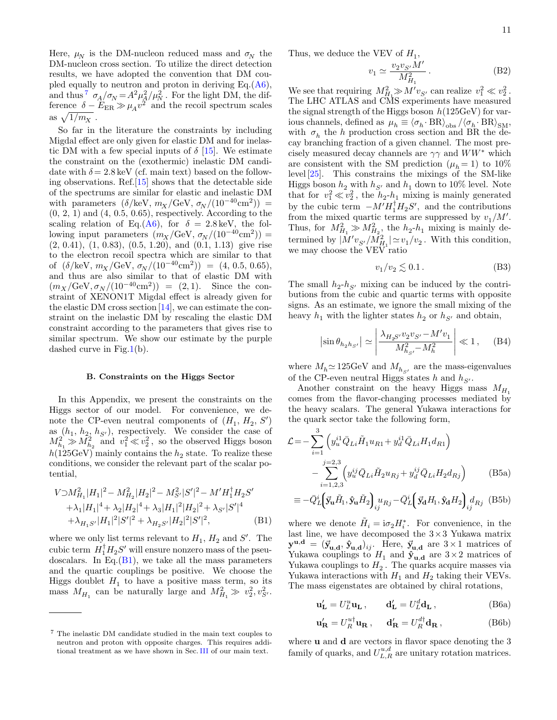Here,  $\mu_N$  is the DM-nucleon reduced mass and  $\sigma_N$  the DM-nucleon cross section. To utilize the direct detection results, we have adopted the convention that DM coupled equally to neutron and proton in deriving Eq.[\(A6\)](#page-9-1), and thus<sup>[7](#page-10-1)</sup>  $\sigma_A/\sigma_N = A^2 \mu_A^2/\mu_N^2$ . For the light DM, the difference  $\delta - E_{\text{ER}} \gg \mu_A v^2$  and the recoil spectrum scales as  $\sqrt{1/m_X}$ .

So far in the literature the constraints by including Migdal effect are only given for elastic DM and for inelastic DM with a few special inputs of  $\delta$  [\[15\]](#page-12-13). We estimate the constraint on the (exothermic) inelastic DM candidate with  $\delta = 2.8 \,\mathrm{keV}$  (cf. main text) based on the following observations. Ref.[\[15\]](#page-12-13) shows that the detectable side of the spectrums are similar for elastic and inelastic DM with parameters  $(\delta/\text{keV}, m_X/\text{GeV}, \sigma_N/(10^{-40}\text{cm}^2))$  =  $(0, 2, 1)$  and  $(4, 0.5, 0.65)$ , respectively. According to the scaling relation of Eq.[\(A6\)](#page-9-1), for  $\delta = 2.8 \,\text{keV}$ , the following input parameters  $(m_X / \text{GeV}, \sigma_N / (10^{-40} \text{cm}^2)) =$ (2, 0.41), (1, 0.83), (0.5, 1.20), and (0.1, 1.13) give rise to the electron recoil spectra which are similar to that of  $(\delta/\text{keV}, m_X/\text{GeV}, \sigma_N/(10^{-40}\text{cm}^2)) = (4, 0.5, 0.65),$ and thus are also similar to that of elastic DM with  $(m_X/\text{GeV}, \sigma_N/(10^{-40}\text{cm}^2)) = (2, 1)$ . Since the constraint of XENON1T Migdal effect is already given for the elastic DM cross section [\[14\]](#page-12-4), we can estimate the constraint on the inelastic DM by rescaling the elastic DM constraint according to the parameters that gives rise to similar spectrum. We show our estimate by the purple dashed curve in Fig.  $1(b)$ .

#### B. Constraints on the Higgs Sector

<span id="page-10-0"></span>In this Appendix, we present the constraints on the Higgs sector of our model. For convenience, we denote the CP-even neutral components of  $(H_1, H_2, S')$ as  $(h_1, h_2, h_{S'})$ , respectively. We consider the case of  $M_{h_1}^2 \gg M_{h_2}^2$  and  $v_1^2 \ll v_2^2$ , so the observed Higgs boson  $h(125 \text{GeV})$  mainly contains the  $h_2$  state. To realize these conditions, we consider the relevant part of the scalar potential,

<span id="page-10-2"></span>
$$
V \supset M_{H_1}^2 |H_1|^2 - M_{H_2}^2 |H_2|^2 - M_{S'}^2 |S'|^2 - M'H_1^{\dagger}H_2S' + \lambda_1 |H_1|^4 + \lambda_2 |H_2|^4 + \lambda_3 |H_1|^2 |H_2|^2 + \lambda_{S'} |S'|^4 + \lambda_{H_1S'} |H_1|^2 |S'|^2 + \lambda_{H_2S'} |H_2|^2 |S'|^2,
$$
 (B1)

where we only list terms relevant to  $H_1$ ,  $H_2$  and  $S'$ . The cubic term  $H_1^{\dagger} H_2 S'$  will ensure nonzero mass of the pseudoscalars. In Eq. $(B1)$ , we take all the mass parameters and the quartic couplings be positive. We choose the Higgs doublet  $H_1$  to have a positive mass term, so its mass  $M_{H_1}$  can be naturally large and  $M_{H_1}^2 \gg v_2^2, v_{S'}^2$ . Thus, we deduce the VEV of  $H_1$ ,

$$
v_1 \simeq \frac{v_2 v_{S'} M'}{M_{H_1}^2} \,. \tag{B2}
$$

We see that requiring  $M_{H_1}^2 \gg M' v_{S'}$  can realize  $v_1^2 \ll v_2^2$ . The LHC ATLAS and CMS experiments have measured the signal strength of the Higgs boson  $h(125 \text{GeV})$  for various channels, defined as  $\mu_h \equiv \langle \sigma_h \cdot \text{BR} \rangle_\text{obs} / \langle \sigma_h \cdot \text{BR} \rangle_\text{SM}$ , with  $\sigma_h$  the h production cross section and BR the decay branching fraction of a given channel. The most precisely measured decay channels are  $\gamma\gamma$  and  $WW^*$  which are consistent with the SM prediction  $(\mu_h = 1)$  to 10% level [\[25\]](#page-12-18). This constrains the mixings of the SM-like Higgs boson  $h_2$  with  $h_{S'}$  and  $h_1$  down to 10% level. Note that for  $v_1^2 \ll v_2^2$ , the  $h_2-h_1$  mixing is mainly generated by the cubic term  $-M'H_1^{\dagger}H_2S'$ , and the contributions from the mixed quartic terms are suppressed by  $v_1/M'$ . Thus, for  $M_{H_1}^2 \gg M_{H_2}^2$ , the  $h_2$ - $h_1$  mixing is mainly determined by  $|M'v_{S'}/M_{H_1}^2| \simeq v_1/v_2$ . With this condition, we may choose the VEV ratio

$$
v_1/v_2 \lesssim 0.1. \tag{B3}
$$

The small  $h_2-h_{S'}$  mixing can be induced by the contributions from the cubic and quartic terms with opposite signs. As an estimate, we ignore the small mixing of the heavy  $h_1$  with the lighter states  $h_2$  or  $h_{S'}$  and obtain,

$$
\left| \sin \theta_{h_2 h_{S'}} \right| \simeq \left| \frac{\lambda_{H_2 S'} v_2 v_{S'} - M' v_1}{M_{h_{S'}}^2 - M_h^2} \right| \ll 1, \quad \text{(B4)}
$$

where  $M_h{\simeq}\,125\text{GeV}$  and  $M_{h_{S'}}$  are the mass-eigenvalues of the CP-even neutral Higgs states h and  $h_{S'}$ .

Another constraint on the heavy Higgs mass  $M_{H_1}$ comes from the flavor-changing processes mediated by the heavy scalars. The general Yukawa interactions for the quark sector take the following form,

$$
\mathcal{L} = -\sum_{i=1}^{3} \left( y_u^{i1} \bar{Q}_{Li} \tilde{H}_1 u_{R1} + y_d^{i1} \bar{Q}_{Li} H_1 d_{R1} \right) \n- \sum_{i=1,2,3}^{j=2,3} \left( y_u^{ij} \bar{Q}_{Li} \tilde{H}_2 u_{Rj} + y_d^{ij} \bar{Q}_{Li} H_2 d_{Rj} \right)
$$
\n(B5a)\n
$$
= \bar{Q} \left( \vec{Q} \cdot \tilde{H} \right) \hat{H} \left( \vec{Q} \cdot \tilde{H} \right)
$$

$$
\equiv -\bar{Q}_L^i \left( \vec{\mathbf{y}}_\mathbf{u} \tilde{H}_1, \hat{\mathbf{y}}_\mathbf{u} \tilde{H}_2 \right)_{ij} u_{Rj} - \bar{Q}_L^i \left( \vec{\mathbf{y}}_\mathbf{d} H_1, \hat{\mathbf{y}}_\mathbf{d} H_2 \right)_{ij} d_{Rj} \tag{B5b}
$$

where we denote  $\tilde{H}_i = \mathrm{i}\sigma_2 H_i^*$ . For convenience, in the last line, we have decomposed the  $3\times3$  Yukawa matrix  $\mathbf{y}^{\mathbf{u},\mathbf{d}} = (\vec{\mathbf{y}}_{\mathbf{u},\mathbf{d}}, \hat{\mathbf{y}}_{\mathbf{u},\mathbf{d}})_{ij}$ . Here,  $\vec{\mathbf{y}}_{\mathbf{u},\mathbf{d}}$  are  $3 \times 1$  matrices of Yukawa couplings to  $H_1$  and  $\hat{\mathbf{y}}_{\mathbf{u},\mathbf{d}}$  are  $3\times 2$  matrices of Yukawa couplings to  $H_2$ . The quarks acquire masses via Yukawa interactions with  $H_1$  and  $H_2$  taking their VEVs. The mass eigenstates are obtained by chiral rotations,

$$
\mathbf{u}'_{\mathbf{L}} = U_L^u \mathbf{u}_{\mathbf{L}} \,, \qquad \mathbf{d}'_{\mathbf{L}} = U_L^d \mathbf{d}_{\mathbf{L}} \,, \tag{B6a}
$$

$$
\mathbf{u}_{\mathbf{R}}^{\prime} = U_R^{u\dagger} \mathbf{u}_{\mathbf{R}} \,, \qquad \mathbf{d}_{\mathbf{R}}^{\prime} = U_R^{d\dagger} \mathbf{d}_{\mathbf{R}} \,, \tag{B6b}
$$

where **u** and **d** are vectors in flavor space denoting the 3 family of quarks, and  $U_{L,R}^{u,d}$  are unitary rotation matrices.

<span id="page-10-1"></span><sup>7</sup> The inelastic DM candidate studied in the main text couples to neutron and proton with opposite charges. This requires additional treatment as we have shown in Sec.[III](#page-3-0) of our main text.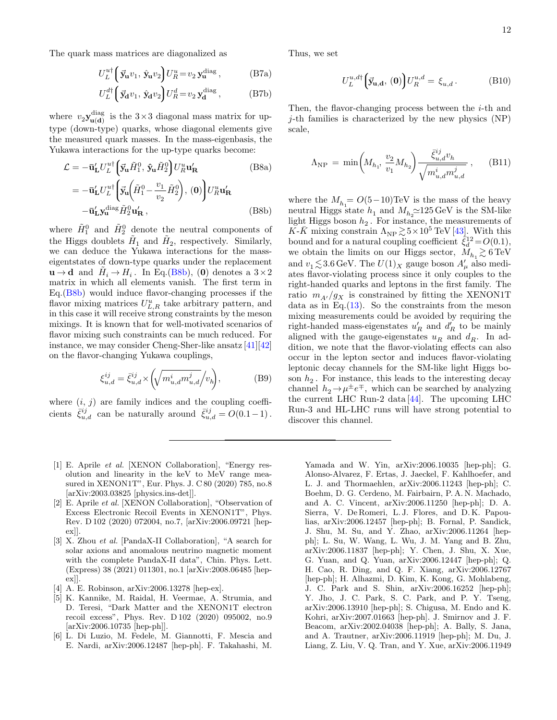The quark mass matrices are diagonalized as

$$
U_L^{u\dagger} \left( \vec{\mathbf{y}}_{\mathbf{u}} v_1, \hat{\mathbf{y}}_{\mathbf{u}} v_2 \right) U_R^u = v_2 \mathbf{y}_{\mathbf{u}}^{\text{diag}} , \qquad (B7a)
$$

$$
U_L^{d\dagger} \left( \vec{\mathbf{y}}_d v_1, \, \hat{\mathbf{y}}_d v_2 \right) U_R^d = v_2 \, \mathbf{y}_d^{\text{diag}} \,, \tag{B7b}
$$

where  $v_2 \mathbf{y}_{\mathbf{u}(\mathbf{d})}^{\text{diag}}$  $u(\mathbf{d})$  is the 3×3 diagonal mass matrix for uptype (down-type) quarks, whose diagonal elements give the measured quark masses. In the mass-eigenbasis, the Yukawa interactions for the up-type quarks become:

<span id="page-11-5"></span>
$$
\mathcal{L} = -\bar{\mathbf{u}}_{\mathbf{L}}' U_L^{u\dagger} \left( \vec{\mathbf{y}}_{\mathbf{u}} \tilde{H}_1^0, \hat{\mathbf{y}}_{\mathbf{u}} \tilde{H}_2^0 \right) U_R^u \mathbf{u}_{\mathbf{R}}' \tag{B8a}
$$
\n
$$
= -\bar{\mathbf{u}}_{\mathbf{L}}' U_L^{u\dagger} \left( \vec{\mathbf{y}}_{\mathbf{u}} \left( \tilde{H}_1^0 - \frac{v_1}{v_2} \tilde{H}_2^0 \right), \, (0) \right) U_R^u \mathbf{u}_{\mathbf{R}}' \tag{B8b}
$$
\n
$$
-\bar{\mathbf{u}}_{\mathbf{L}}' \mathbf{y}_{\mathbf{u}}^{\text{diag}} \tilde{H}_2^0 \mathbf{u}_{\mathbf{R}}', \tag{B8b}
$$

where  $\tilde{H}_1^0$  and  $\tilde{H}_2^0$  denote the neutral components of the Higgs doublets  $H_1$  and  $H_2$ , respectively. Similarly, we can deduce the Yukawa interactions for the masseigentstates of down-type quarks under the replacement  $\mathbf{u} \to \mathbf{d}$  and  $\tilde{H}_i \to H_i$ . In Eq.[\(B8b\)](#page-11-5), (0) denotes a  $3 \times 2$ matrix in which all elements vanish. The first term in Eq.[\(B8b\)](#page-11-5) would induce flavor-changing processes if the flavor mixing matrices  $U_{L,R}^u$  take arbitrary pattern, and in this case it will receive strong constraints by the meson mixings. It is known that for well-motivated scenarios of flavor mixing such constraints can be much reduced. For instance, we may consider Cheng-Sher-like ansatz [\[41\]](#page-13-8)[\[42\]](#page-13-9) on the flavor-changing Yukawa couplings,

$$
\xi_{u,d}^{ij} = \bar{\xi}_{u,d}^{ij} \times \left( \sqrt{m_{u,d}^{i} m_{u,d}^{j}} / v_h \right),
$$
 (B9)

where  $(i, j)$  are family indices and the coupling coefficients  $\bar{\xi}_{u,d}^{ij}$  can be naturally around  $\bar{\xi}_{u,d}^{ij} = O(0.1-1)$ .

- <span id="page-11-0"></span>[1] E. Aprile et al. [XENON Collaboration], "Energy resolution and linearity in the keV to MeV range measured in XENON1T", Eur. Phys. J. C 80 (2020) 785, no.8 [arXiv:2003.03825 [physics.ins-det]].
- <span id="page-11-1"></span>[2] E. Aprile et al. [XENON Collaboration], "Observation of Excess Electronic Recoil Events in XENON1T", Phys. Rev. D 102 (2020) 072004, no.7, [arXiv:2006.09721 [hepex]].
- <span id="page-11-2"></span>[3] X. Zhou et al. [PandaX-II Collaboration], "A search for solar axions and anomalous neutrino magnetic moment with the complete PandaX-II data", Chin. Phys. Lett. (Express) 38 (2021) 011301, no.1 [arXiv:2008.06485 [hepex]].
- <span id="page-11-3"></span>[4] A. E. Robinson, arXiv:2006.13278 [hep-ex].
- <span id="page-11-4"></span>[5] K. Kannike, M. Raidal, H. Veermae, A. Strumia, and D. Teresi, "Dark Matter and the XENON1T electron recoil excess", Phys. Rev. D 102 (2020) 095002, no.9 [arXiv:2006.10735 [hep-ph]].
- [6] L. Di Luzio, M. Fedele, M. Giannotti, F. Mescia and E. Nardi, arXiv:2006.12487 [hep-ph]. F. Takahashi, M.

Thus, we set

$$
U_L^{u,d\dagger} \left( \vec{\mathbf{y}}_{\mathbf{u},\mathbf{d}}, \, (\mathbf{0}) \right) U_R^{u,d} = \xi_{u,d} \,. \tag{B10}
$$

Then, the flavor-changing process between the  $i$ -th and  $j$ -th families is characterized by the new physics  $(NP)$ scale,

$$
\Lambda_{\rm NP} = \min\left(M_{h_1}, \frac{v_2}{v_1} M_{h_2}\right) \frac{\bar{\xi}_{u,d}^{ij} v_h}{\sqrt{m_{u,d}^i m_{u,d}^j}}, \quad \text{(B11)}
$$

where the  $M_{h_1} = O(5-10) \text{TeV}$  is the mass of the heavy neutral Higgs state  $h_1$  and  $M_{h_2} \simeq 125 \,\text{GeV}$  is the SM-like light Higgs boson  $h_2$ . For instance, the measurements of K-K mixing constrain  $\Lambda_{\rm NP} \gtrsim 5 \times 10^5$  TeV [\[43\]](#page-13-10). With this bound and for a natural coupling coefficient  $\dot{\xi}_d^{12} = O(0.1)$ , we obtain the limits on our Higgs sector,  $M_{h_1} \gtrsim 6 \,\text{TeV}$ and  $v_1 \lesssim 3.6 \,\mathrm{GeV}$ . The  $U(1)_X$  gauge boson  $A'_\mu$  also mediates flavor-violating process since it only couples to the right-handed quarks and leptons in the first family. The ratio  $m_{A'}/g_X$  is constrained by fitting the XENON1T data as in Eq. $(13)$ . So the constraints from the meson mixing measurements could be avoided by requiring the right-handed mass-eigenstates  $u'_R$  and  $d'_R$  to be mainly aligned with the gauge-eigenstates  $u_R$  and  $d_R$ . In addition, we note that the flavor-violating effects can also occur in the lepton sector and induces flavor-violating leptonic decay channels for the SM-like light Higgs boson  $h_2$ . For instance, this leads to the interesting decay channel  $h_2 \to \mu^{\pm} e^{\mp}$ , which can be searched by analyzing the current LHC Run-2 data  $[44]$ . The upcoming LHC Run-3 and HL-LHC runs will have strong potential to discover this channel.

Yamada and W. Yin, arXiv:2006.10035 [hep-ph]; G. Alonso-Alvarez, F. Ertas, J. Jaeckel, F. Kahlhoefer, and L. J. and Thormaehlen, arXiv:2006.11243 [hep-ph]; C. Boehm, D. G. Cerdeno, M. Fairbairn, P. A. N. Machado, and A. C. Vincent, arXiv:2006.11250 [hep-ph]; D. A. Sierra, V. De Romeri, L. J. Flores, and D. K. Papoulias, arXiv:2006.12457 [hep-ph]; B. Fornal, P. Sandick, J. Shu, M. Su, and Y. Zhao, arXiv:2006.11264 [hepph]; L. Su, W. Wang, L. Wu, J. M. Yang and B. Zhu, arXiv:2006.11837 [hep-ph]; Y. Chen, J. Shu, X. Xue, G. Yuan, and Q. Yuan, arXiv:2006.12447 [hep-ph]; Q. H. Cao, R. Ding, and Q. F. Xiang, arXiv:2006.12767 [hep-ph]; H. Alhazmi, D. Kim, K. Kong, G. Mohlabeng, J. C. Park and S. Shin, arXiv:2006.16252 [hep-ph]; Y. Jho, J. C. Park, S. C. Park, and P. Y. Tseng, arXiv:2006.13910 [hep-ph]; S. Chigusa, M. Endo and K. Kohri, arXiv:2007.01663 [hep-ph]. J. Smirnov and J. F. Beacom, arXiv:2002.04038 [hep-ph]; A. Bally, S. Jana, and A. Trautner, arXiv:2006.11919 [hep-ph]; M. Du, J. Liang, Z. Liu, V. Q. Tran, and Y. Xue, arXiv:2006.11949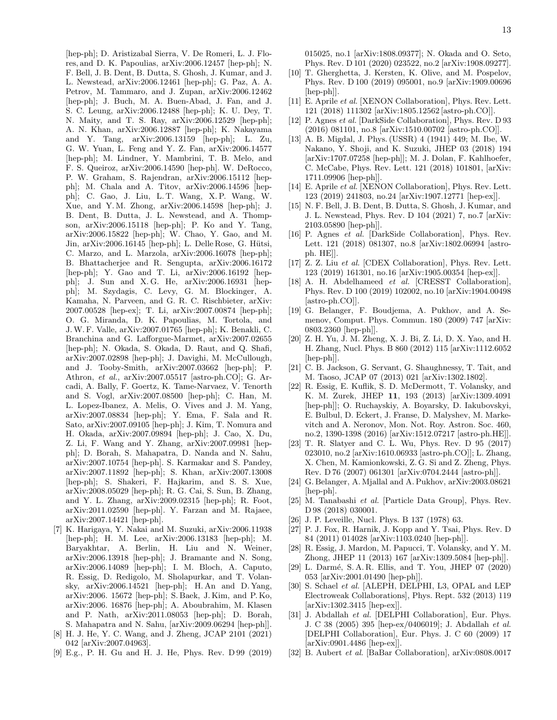[hep-ph]; D. Aristizabal Sierra, V. De Romeri, L. J. Flores, and D. K. Papoulias, arXiv:2006.12457 [hep-ph]; N. F. Bell, J. B. Dent, B. Dutta, S. Ghosh, J. Kumar, and J. L. Newstead, arXiv:2006.12461 [hep-ph]; G. Paz, A. A. Petrov, M. Tammaro, and J. Zupan, arXiv:2006.12462 [hep-ph]; J. Buch, M. A. Buen-Abad, J. Fan, and J. S. C. Leung, arXiv:2006.12488 [hep-ph]; K. U. Dey, T. N. Maity, and T. S. Ray, arXiv:2006.12529 [hep-ph]; A. N. Khan, arXiv:2006.12887 [hep-ph]; K. Nakayama and Y. Tang, arXiv:2006.13159 [hep-ph]; L. Zu, G. W. Yuan, L. Feng and Y. Z. Fan, arXiv:2006.14577 [hep-ph]; M. Lindner, Y. Mambrini, T. B. Melo, and F. S. Queiroz, arXiv:2006.14590 [hep-ph]. W. DeRocco, P. W. Graham, S. Rajendran, arXiv:2006.15112 [hepph]; M. Chala and A. Titov, arXiv:2006.14596 [hepph]; C. Gao, J. Liu, L. T. Wang, X. P. Wang, W. Xue, and Y. M. Zhong, arXiv:2006.14598 [hep-ph]; J. B. Dent, B. Dutta, J. L. Newstead, and A. Thompson, arXiv:2006.15118 [hep-ph]; P. Ko and Y. Tang, arXiv:2006.15822 [hep-ph]; W. Chao, Y. Gao, and M. Jin, arXiv:2006.16145 [hep-ph]; L. Delle Rose, G. Hütsi, C. Marzo, and L. Marzola, arXiv:2006.16078 [hep-ph]; B. Bhattacherjee and R. Sengupta, arXiv:2006.16172 [hep-ph]; Y. Gao and T. Li, arXiv:2006.16192 [hepph]; J. Sun and X. G. He, arXiv:2006.16931 [hepph]; M. Szydagis, C. Levy, G. M. Blockinger, A. Kamaha, N. Parveen, and G. R. C. Rischbieter, arXiv: 2007.00528 [hep-ex]; T. Li, arXiv:2007.00874 [hep-ph]; O. G. Miranda, D. K. Papoulias, M. Tortola, and J.W. F. Valle, arXiv:2007.01765 [hep-ph]; K. Benakli, C. Branchina and G. Lafforgue-Marmet, arXiv:2007.02655 [hep-ph]; N. Okada, S. Okada, D. Raut, and Q. Shafi, arXiv:2007.02898 [hep-ph]; J. Davighi, M. McCullough, and J. Tooby-Smith, arXiv:2007.03662 [hep-ph]; P. Athron, et al., arXiv:2007.05517 [astro-ph.CO]; G. Arcadi, A. Bally, F. Goertz, K. Tame-Narvaez, V. Tenorth and S. Vogl, arXiv:2007.08500 [hep-ph]; C. Han, M. L. Lopez-Ibanez, A. Melis, O. Vives and J. M. Yang, arXiv:2007.08834 [hep-ph]; Y. Ema, F. Sala and R. Sato, arXiv:2007.09105 [hep-ph]; J. Kim, T. Nomura and H. Okada, arXiv:2007.09894 [hep-ph]; J. Cao, X. Du, Z. Li, F. Wang and Y. Zhang, arXiv:2007.09981 [hepph]; D. Borah, S. Mahapatra, D. Nanda and N. Sahu, arXiv:2007.10754 [hep-ph]. S. Karmakar and S. Pandey, arXiv:2007.11892 [hep-ph]; S. Khan, arXiv:2007.13008 [hep-ph]; S. Shakeri, F. Hajkarim, and S. S. Xue, arXiv:2008.05029 [hep-ph]; R. G. Cai, S. Sun, B. Zhang, and Y. L. Zhang, arXiv:2009.02315 [hep-ph]; R. Foot, arXiv:2011.02590 [hep-ph]. Y. Farzan and M. Rajaee, arXiv:2007.14421 [hep-ph].

- <span id="page-12-1"></span>[7] K. Harigaya, Y. Nakai and M. Suzuki, arXiv:2006.11938 [hep-ph]; H. M. Lee, arXiv:2006.13183 [hep-ph]; M. Baryakhtar, A. Berlin, H. Liu and N. Weiner, arXiv:2006.13918 [hep-ph]; J. Bramante and N. Song, arXiv:2006.14089 [hep-ph]; I. M. Bloch, A. Caputo, R. Essig, D. Redigolo, M. Sholapurkar, and T. Volansky, arXiv:2006.14521 [hep-ph]; H. An and D. Yang, arXiv:2006. 15672 [hep-ph]; S. Baek, J. Kim, and P. Ko, arXiv:2006. 16876 [hep-ph]; A. Aboubrahim, M. Klasen and P. Nath, arXiv:2011.08053 [hep-ph]; D. Borah, S. Mahapatra and N. Sahu, [arXiv:2009.06294 [hep-ph]]. [8] H. J. He, Y. C. Wang, and J. Zheng, JCAP 2101 (2021)
- <span id="page-12-0"></span>042 [arXiv:2007.04963].
- <span id="page-12-3"></span>[9] E.g., P. H. Gu and H. J. He, Phys. Rev. D 99 (2019)

015025, no.1 [arXiv:1808.09377]; N. Okada and O. Seto, Phys. Rev. D 101 (2020) 023522, no.2 [arXiv:1908.09277].

- <span id="page-12-2"></span>[10] T. Gherghetta, J. Kersten, K. Olive, and M. Pospelov, Phys. Rev. D 100 (2019) 095001, no.9 [arXiv:1909.00696 [hep-ph]].
- <span id="page-12-10"></span>[11] E. Aprile et al. [XENON Collaboration], Phys. Rev. Lett. 121 (2018) 111302 [arXiv:1805.12562 [astro-ph.CO]].
- <span id="page-12-11"></span>[12] P. Agnes *et al.* [DarkSide Collaboration], Phys. Rev. D 93 (2016) 081101, no.8 [arXiv:1510.00702 [astro-ph.CO]].
- <span id="page-12-12"></span>[13] A. B. Migdal, J. Phys. (USSR) 4 (1941) 449; M. Ibe, W. Nakano, Y. Shoji, and K. Suzuki, JHEP 03 (2018) 194 [arXiv:1707.07258 [hep-ph]]; M. J. Dolan, F. Kahlhoefer, C. McCabe, Phys. Rev. Lett. 121 (2018) 101801, [arXiv: 1711.09906 [hep-ph]].
- <span id="page-12-4"></span>[14] E. Aprile *et al.* [XENON Collaboration], Phys. Rev. Lett. 123 (2019) 241803, no.24 [arXiv:1907.12771 [hep-ex]].
- <span id="page-12-13"></span>[15] N. F. Bell, J. B. Dent, B. Dutta, S. Ghosh, J. Kumar, and J. L. Newstead, Phys. Rev. D 104 (2021) 7, no.7 [arXiv: 2103.05890 [hep-ph]].
- <span id="page-12-7"></span>[16] P. Agnes et al. [DarkSide Collaboration], Phys. Rev. Lett. 121 (2018) 081307, no.8 [arXiv:1802.06994 [astroph. HE]].
- <span id="page-12-6"></span>[17] Z. Z. Liu et al. [CDEX Collaboration], Phys. Rev. Lett. 123 (2019) 161301, no.16 [arXiv:1905.00354 [hep-ex]].
- <span id="page-12-5"></span>[18] A. H. Abdelhameed et al. [CRESST Collaboration], Phys. Rev. D 100 (2019) 102002, no.10 [arXiv:1904.00498 [astro-ph.CO]].
- <span id="page-12-8"></span>[19] G. Belanger, F. Boudjema, A. Pukhov, and A. Semenov, Comput. Phys. Commun. 180 (2009) 747 [arXiv: 0803.2360 [hep-ph]].
- <span id="page-12-9"></span>[20] Z. H. Yu, J. M. Zheng, X. J. Bi, Z. Li, D. X. Yao, and H. H. Zhang, Nucl. Phys. B 860 (2012) 115 [arXiv:1112.6052 [hep-ph]].
- <span id="page-12-14"></span>[21] C. B. Jackson, G. Servant, G. Shaughnessy, T. Tait, and M. Taoso, JCAP 07 (2013) 021 [arXiv:1302.1802].
- <span id="page-12-15"></span>[22] R. Essig, E. Kuflik, S. D. McDermott, T. Volansky, and K. M. Zurek, JHEP 11, 193 (2013) [arXiv:1309.4091 [hep-ph]]; O. Ruchayskiy, A. Boyarsky, D. Iakubovskyi, E. Bulbul, D. Eckert, J. Franse, D. Malyshev, M. Markevitch and A. Neronov, Mon. Not. Roy. Astron. Soc. 460, no.2, 1390-1398 (2016) [arXiv:1512.07217 [astro-ph.HE]].
- <span id="page-12-16"></span>[23] T. R. Slatyer and C. L. Wu, Phys. Rev. D 95 (2017) 023010, no.2 [arXiv:1610.06933 [astro-ph.CO]]; L. Zhang, X. Chen, M. Kamionkowski, Z. G. Si and Z. Zheng, Phys. Rev. D 76 (2007) 061301 [arXiv:0704.2444 [astro-ph]].
- <span id="page-12-17"></span>[24] G. Belanger, A. Mjallal and A. Pukhov, arXiv:2003.08621 [hep-ph].
- <span id="page-12-18"></span>[25] M. Tanabashi et al. [Particle Data Group], Phys. Rev. D 98 (2018) 030001.
- <span id="page-12-19"></span>[26] J. P. Leveille, Nucl. Phys. B 137 (1978) 63.
- <span id="page-12-20"></span>[27] P. J. Fox, R. Harnik, J. Kopp and Y. Tsai, Phys. Rev. D 84 (2011) 014028 [arXiv:1103.0240 [hep-ph]].
- <span id="page-12-25"></span>[28] R. Essig, J. Mardon, M. Papucci, T. Volansky, and Y. M. Zhong, JHEP 11 (2013) 167 [arXiv:1309.5084 [hep-ph]].
- <span id="page-12-21"></span>[29] L. Darmé, S. A. R. Ellis, and T. You, JHEP 07 (2020) 053 [arXiv:2001.01490 [hep-ph]].
- <span id="page-12-22"></span>[30] S. Schael et al. [ALEPH, DELPHI, L3, OPAL and LEP Electroweak Collaborations], Phys. Rept. 532 (2013) 119 [arXiv:1302.3415 [hep-ex]].
- <span id="page-12-23"></span>[31] J. Abdallah et al. [DELPHI Collaboration], Eur. Phys. J. C 38 (2005) 395 [hep-ex/0406019]; J. Abdallah et al. [DELPHI Collaboration], Eur. Phys. J. C 60 (2009) 17 [arXiv:0901.4486 [hep-ex]].
- <span id="page-12-24"></span>[32] B. Aubert et al. [BaBar Collaboration], arXiv:0808.0017